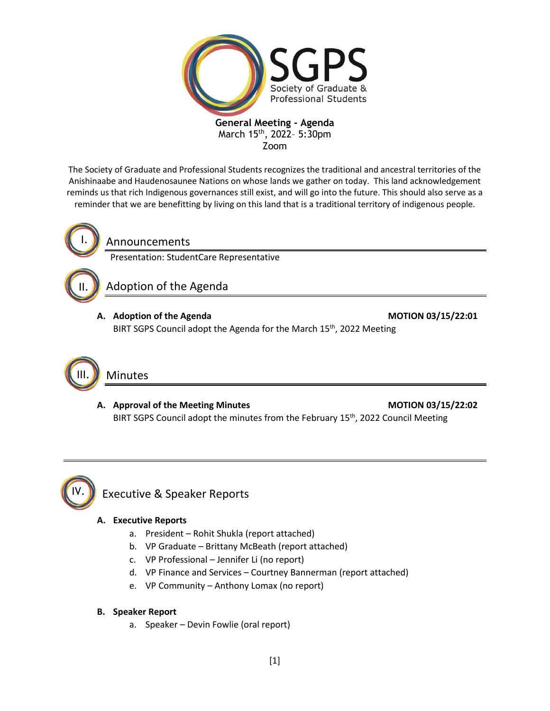

The Society of Graduate and Professional Students recognizes the traditional and ancestral territories of the Anishinaabe and Haudenosaunee Nations on whose lands we gather on today. This land acknowledgement reminds us that rich Indigenous governances still exist, and will go into the future. This should also serve as a reminder that we are benefitting by living on this land that is a traditional territory of indigenous people.



Announcements

Presentation: StudentCare Representative

Adoption of the Agenda

A. Adoption of the Agenda **MOTION 03/15/22:01** 

BIRT SGPS Council adopt the Agenda for the March 15<sup>th</sup>, 2022 Meeting



A. Approval of the Meeting Minutes **MOTION 03/15/22:02** BIRT SGPS Council adopt the minutes from the February 15<sup>th</sup>, 2022 Council Meeting



# Executive & Speaker Reports

### **A. Executive Reports**

- a. President Rohit Shukla (report attached)
- b. VP Graduate Brittany McBeath (report attached)
- c. VP Professional Jennifer Li (no report)
- d. VP Finance and Services Courtney Bannerman (report attached)
- e. VP Community Anthony Lomax (no report)

### **B. Speaker Report**

a. Speaker – Devin Fowlie (oral report)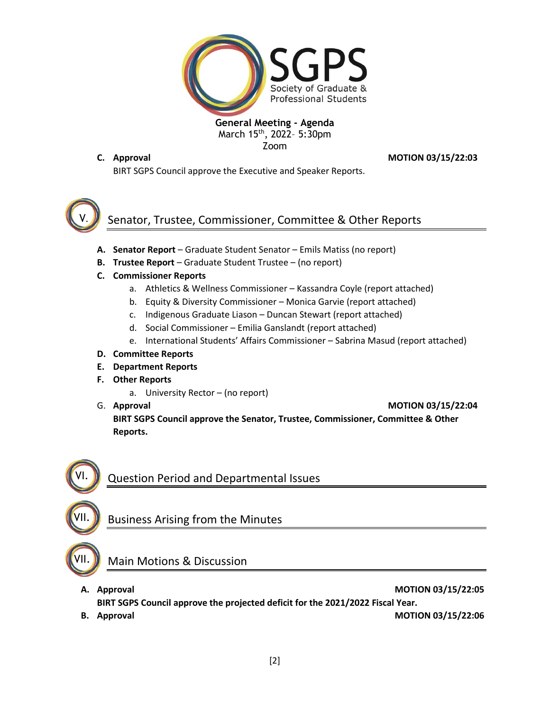

**C. Approval MOTION 03/15/22:03**

BIRT SGPS Council approve the Executive and Speaker Reports.



# Senator, Trustee, Commissioner, Committee & Other Reports

- **A. Senator Report** Graduate Student Senator Emils Matiss (no report)
- **B. Trustee Report** Graduate Student Trustee (no report)
- **C. Commissioner Reports**
	- a. Athletics & Wellness Commissioner Kassandra Coyle (report attached)
	- b. Equity & Diversity Commissioner Monica Garvie (report attached)
	- c. Indigenous Graduate Liason Duncan Stewart (report attached)
	- d. Social Commissioner Emilia Ganslandt (report attached)
	- e. International Students' Affairs Commissioner Sabrina Masud (report attached)
- **D. Committee Reports**
- **E. Department Reports**
- **F. Other Reports**
	- a. University Rector (no report)
- 

G. **Approval MOTION 03/15/22:04**

**BIRT SGPS Council approve the Senator, Trustee, Commissioner, Committee & Other Reports.**



# Question Period and Departmental Issues

# Business Arising from the Minutes

VII.

VII.

# Main Motions & Discussion

- **A. Approval MOTION 03/15/22:05 BIRT SGPS Council approve the projected deficit for the 2021/2022 Fiscal Year.**
- 

**B.** Approval **MOTION 03/15/22:06**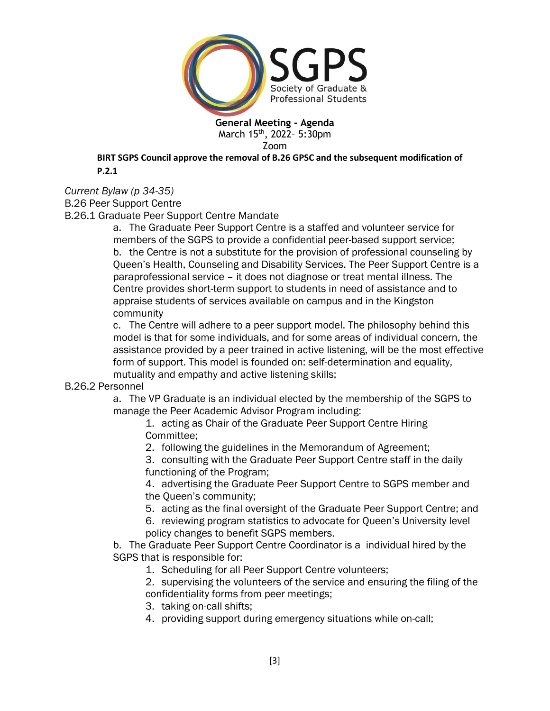

**BIRT SGPS Council approve the removal of B.26 GPSC and the subsequent modification of P.2.1**

*Current Bylaw (p 34-35)*

B.26 Peer Support Centre

B.26.1 Graduate Peer Support Centre Mandate

a. The Graduate Peer Support Centre is a staffed and volunteer service for members of the SGPS to provide a confidential peer-based support service; b. the Centre is not a substitute for the provision of professional counseling by Queen's Health, Counseling and Disability Services. The Peer Support Centre is a paraprofessional service – it does not diagnose or treat mental illness. The Centre provides short-term support to students in need of assistance and to appraise students of services available on campus and in the Kingston community

c. The Centre will adhere to a peer support model. The philosophy behind this model is that for some individuals, and for some areas of individual concern, the assistance provided by a peer trained in active listening, will be the most effective form of support. This model is founded on: self-determination and equality, mutuality and empathy and active listening skills;

## B.26.2 Personnel

a. The VP Graduate is an individual elected by the membership of the SGPS to manage the Peer Academic Advisor Program including:

1. acting as Chair of the Graduate Peer Support Centre Hiring Committee;

2. following the guidelines in the Memorandum of Agreement;

3. consulting with the Graduate Peer Support Centre staff in the daily functioning of the Program;

4. advertising the Graduate Peer Support Centre to SGPS member and the Queen's community;

5. acting as the final oversight of the Graduate Peer Support Centre; and

6. reviewing program statistics to advocate for Queen's University level policy changes to benefit SGPS members.

b. The Graduate Peer Support Centre Coordinator is a individual hired by the SGPS that is responsible for:

1. Scheduling for all Peer Support Centre volunteers;

2. supervising the volunteers of the service and ensuring the filing of the confidentiality forms from peer meetings;

- 3. taking on-call shifts;
- 4. providing support during emergency situations while on-call;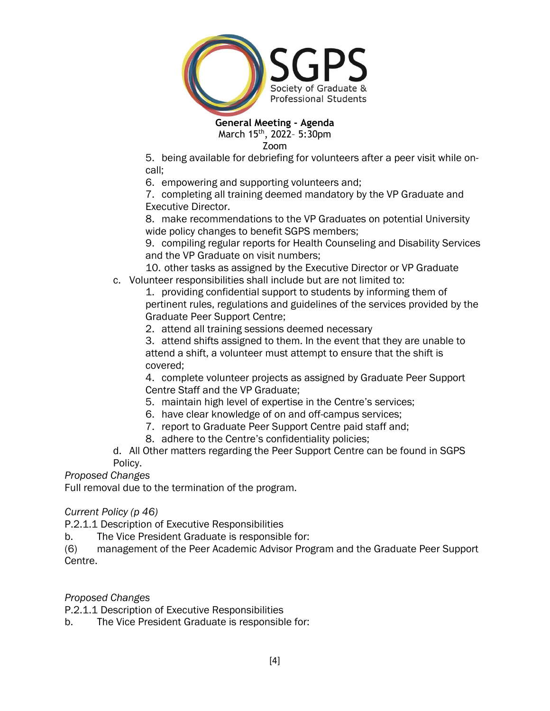

Zoom

5. being available for debriefing for volunteers after a peer visit while oncall;

6. empowering and supporting volunteers and;

7. completing all training deemed mandatory by the VP Graduate and Executive Director.

8. make recommendations to the VP Graduates on potential University wide policy changes to benefit SGPS members;

9. compiling regular reports for Health Counseling and Disability Services and the VP Graduate on visit numbers;

10. other tasks as assigned by the Executive Director or VP Graduate c. Volunteer responsibilities shall include but are not limited to:

1. providing confidential support to students by informing them of pertinent rules, regulations and guidelines of the services provided by the Graduate Peer Support Centre;

2. attend all training sessions deemed necessary

3. attend shifts assigned to them. In the event that they are unable to attend a shift, a volunteer must attempt to ensure that the shift is covered;

4. complete volunteer projects as assigned by Graduate Peer Support Centre Staff and the VP Graduate;

- 5. maintain high level of expertise in the Centre's services;
- 6. have clear knowledge of on and off-campus services;
- 7. report to Graduate Peer Support Centre paid staff and;
- 8. adhere to the Centre's confidentiality policies;

d. All Other matters regarding the Peer Support Centre can be found in SGPS Policy.

*Proposed Changes*

Full removal due to the termination of the program.

*Current Policy (p 46)*

P.2.1.1 Description of Executive Responsibilities

b. The Vice President Graduate is responsible for:

(6) management of the Peer Academic Advisor Program and the Graduate Peer Support Centre.

*Proposed Changes*

P.2.1.1 Description of Executive Responsibilities

b. The Vice President Graduate is responsible for: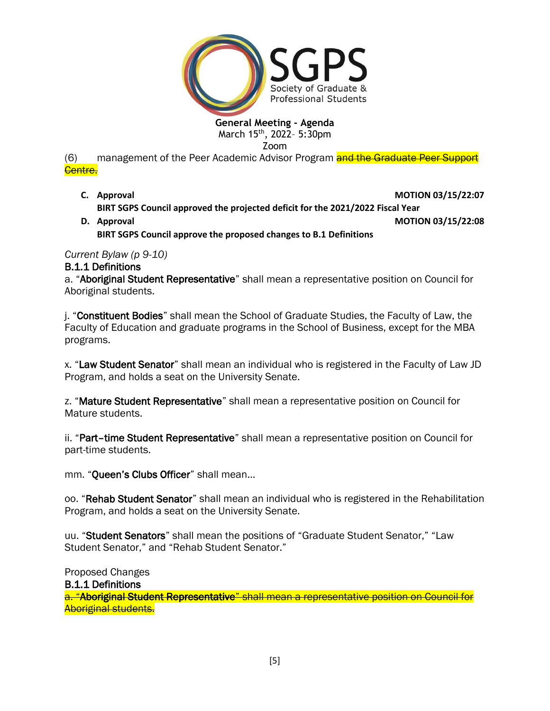

# **General Meeting - Agenda**

March 15<sup>th</sup>, 2022- 5:30pm

Zoom

(6) management of the Peer Academic Advisor Program and the Graduate Peer Support Centre.

- **C.** Approval **MOTION 03/15/22:07 BIRT SGPS Council approved the projected deficit for the 2021/2022 Fiscal Year**
- **D. Approval MOTION 03/15/22:08 BIRT SGPS Council approve the proposed changes to B.1 Definitions**

*Current Bylaw (p 9-10)*

# B.1.1 Definitions

a. "Aboriginal Student Representative" shall mean a representative position on Council for Aboriginal students.

j. "Constituent Bodies" shall mean the School of Graduate Studies, the Faculty of Law, the Faculty of Education and graduate programs in the School of Business, except for the MBA programs.

x. "Law Student Senator" shall mean an individual who is registered in the Faculty of Law JD Program, and holds a seat on the University Senate.

z. "Mature Student Representative" shall mean a representative position on Council for Mature students.

ii. "Part-time Student Representative" shall mean a representative position on Council for part-time students.

mm. "Queen's Clubs Officer" shall mean…

oo. "Rehab Student Senator" shall mean an individual who is registered in the Rehabilitation Program, and holds a seat on the University Senate.

uu. "Student Senators" shall mean the positions of "Graduate Student Senator," "Law Student Senator," and "Rehab Student Senator."

Proposed Changes

B.1.1 Definitions

a. "Aboriginal Student Representative" shall mean a representative position on Council for Aboriginal students.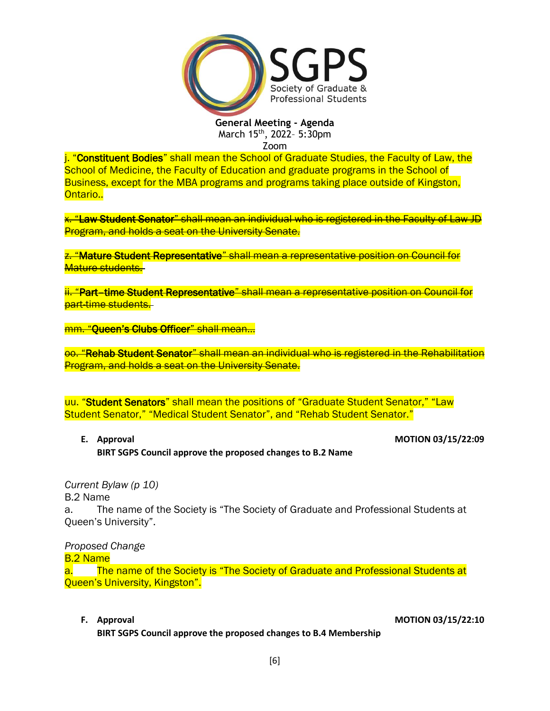

Zoom

j. "Constituent Bodies" shall mean the School of Graduate Studies, the Faculty of Law, the School of Medicine, the Faculty of Education and graduate programs in the School of Business, except for the MBA programs and programs taking place outside of Kingston, Ontario..

x. "Law Student Senator" shall mean an individual who is registered in the Faculty of Law JD Program, and holds a seat on the University Senate.

z. "Mature Student Representative" shall mean a representative position on Council for Mature students.

ii. "Part–time Student Representative" shall mean a representative position on Council for part-time students.

mm. "Queen's Clubs Officer" shall mean…

oo. "Rehab Student Senator" shall mean an individual who is registered in the Rehabilitation Program, and holds a seat on the University Senate.

uu. "Student Senators" shall mean the positions of "Graduate Student Senator," "Law Student Senator," "Medical Student Senator", and "Rehab Student Senator."

**E.** Approval **MOTION 03/15/22:09 BIRT SGPS Council approve the proposed changes to B.2 Name**

*Current Bylaw (p 10)*

B.2 Name

a. The name of the Society is "The Society of Graduate and Professional Students at Queen's University".

*Proposed Change*

B.2 Name

a. The name of the Society is "The Society of Graduate and Professional Students at Queen's University, Kingston".

**F. Approval MOTION 03/15/22:10**

**BIRT SGPS Council approve the proposed changes to B.4 Membership**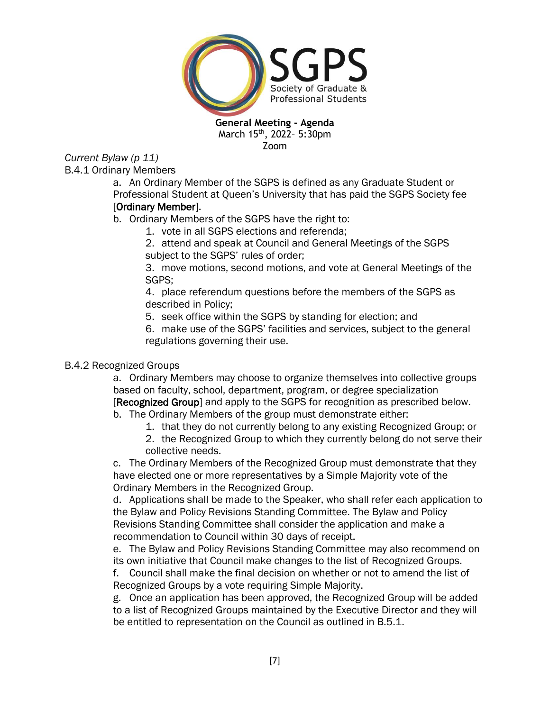

*Current Bylaw (p 11)* B.4.1 Ordinary Members

a. An Ordinary Member of the SGPS is defined as any Graduate Student or Professional Student at Queen's University that has paid the SGPS Society fee [Ordinary Member].

## b. Ordinary Members of the SGPS have the right to:

- 1. vote in all SGPS elections and referenda;
	- 2. attend and speak at Council and General Meetings of the SGPS subject to the SGPS' rules of order;

3. move motions, second motions, and vote at General Meetings of the SGPS;

4. place referendum questions before the members of the SGPS as described in Policy;

5. seek office within the SGPS by standing for election; and

6. make use of the SGPS' facilities and services, subject to the general regulations governing their use.

# B.4.2 Recognized Groups

a. Ordinary Members may choose to organize themselves into collective groups based on faculty, school, department, program, or degree specialization [Recognized Group] and apply to the SGPS for recognition as prescribed below.

b. The Ordinary Members of the group must demonstrate either:

- 1. that they do not currently belong to any existing Recognized Group; or
- 2. the Recognized Group to which they currently belong do not serve their collective needs.

c. The Ordinary Members of the Recognized Group must demonstrate that they have elected one or more representatives by a Simple Majority vote of the Ordinary Members in the Recognized Group.

d. Applications shall be made to the Speaker, who shall refer each application to the Bylaw and Policy Revisions Standing Committee. The Bylaw and Policy Revisions Standing Committee shall consider the application and make a recommendation to Council within 30 days of receipt.

e. The Bylaw and Policy Revisions Standing Committee may also recommend on its own initiative that Council make changes to the list of Recognized Groups.

f. Council shall make the final decision on whether or not to amend the list of Recognized Groups by a vote requiring Simple Majority.

g. Once an application has been approved, the Recognized Group will be added to a list of Recognized Groups maintained by the Executive Director and they will be entitled to representation on the Council as outlined in B.5.1.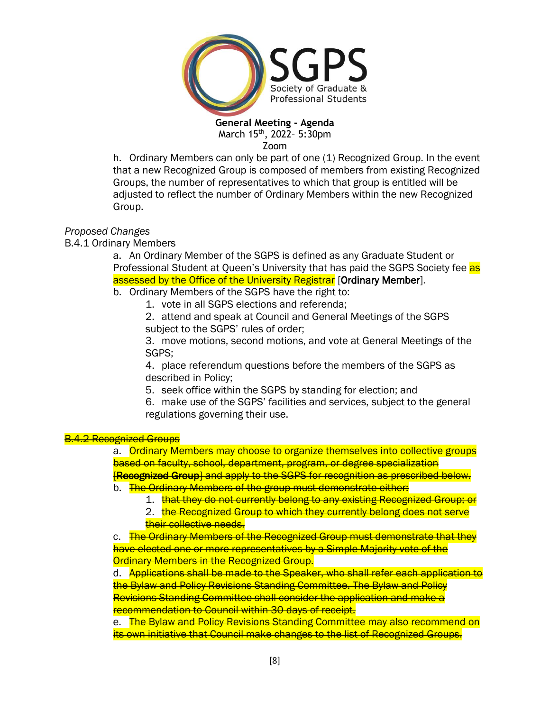

Zoom

h. Ordinary Members can only be part of one (1) Recognized Group. In the event that a new Recognized Group is composed of members from existing Recognized Groups, the number of representatives to which that group is entitled will be adjusted to reflect the number of Ordinary Members within the new Recognized Group.

### *Proposed Changes*

B.4.1 Ordinary Members

a. An Ordinary Member of the SGPS is defined as any Graduate Student or Professional Student at Queen's University that has paid the SGPS Society fee as assessed by the Office of the University Registrar [Ordinary Member].

b. Ordinary Members of the SGPS have the right to:

1. vote in all SGPS elections and referenda;

2. attend and speak at Council and General Meetings of the SGPS subject to the SGPS' rules of order;

3. move motions, second motions, and vote at General Meetings of the SGPS;

4. place referendum questions before the members of the SGPS as described in Policy;

5. seek office within the SGPS by standing for election; and

6. make use of the SGPS' facilities and services, subject to the general regulations governing their use.

### 4.2 Recognized Groups

a. Ordinary Members may choose to organize themselves into collective groups based on faculty, school, department, program, or degree specialization **[Recognized Group]** and apply to the SGPS for recognition as prescribed below. b. The Ordinary Members of the group must demonstrate either:

- 1. that they do not currently belong to any existing Recognized Group; or
- 2. the Recognized Group to which they currently belong does not serve their collective needs.

c. The Ordinary Members of the Recognized Group must demonstrate that they have elected one or more representatives by a Simple Majority vote of the **Ordinary Members in the Recognized Group.** 

d. Applications shall be made to the Speaker, who shall refer each application to the Bylaw and Policy Revisions Standing Committee. The Bylaw and Policy Revisions Standing Committee shall consider the application and make a recommendation to Council within 30 days of receipt.

e. The Bylaw and Policy Revisions Standing Committee may also recommend on its own initiative that Council make changes to the list of Recognized Groups.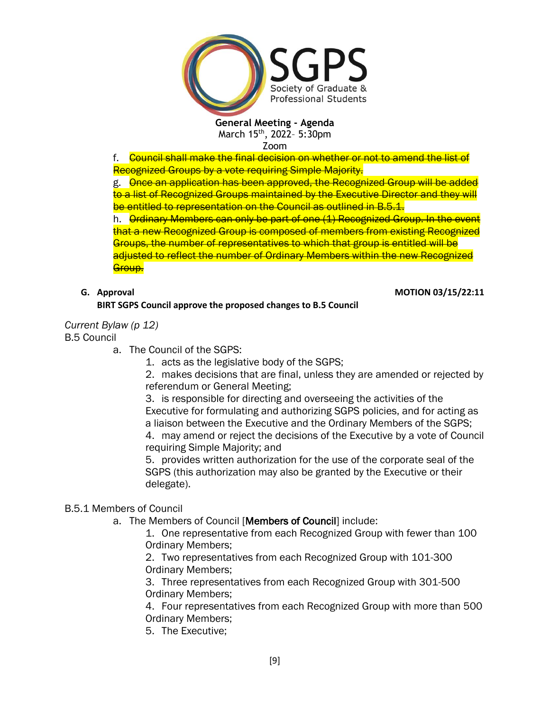

Zoom

f. Council shall make the final decision on whether or not to amend the list of Recognized Groups by a vote requiring Simple Majority.

g. Once an application has been approved, the Recognized Group will be added to a list of Recognized Groups maintained by the Executive Director and they will be entitled to representation on the Council as outlined in B.5.1.

h. **Ordinary Members can only be part of one (1) Recognized Group. In the event** that a new Recognized Group is composed of members from existing Recognized Groups, the number of representatives to which that group is entitled will be adjusted to reflect the number of Ordinary Members within the new Recognized Group.

**G. Approval MOTION 03/15/22:11**

## **BIRT SGPS Council approve the proposed changes to B.5 Council**

*Current Bylaw (p 12)*

B.5 Council

a. The Council of the SGPS:

1. acts as the legislative body of the SGPS;

2. makes decisions that are final, unless they are amended or rejected by referendum or General Meeting;

3. is responsible for directing and overseeing the activities of the Executive for formulating and authorizing SGPS policies, and for acting as a liaison between the Executive and the Ordinary Members of the SGPS;

4. may amend or reject the decisions of the Executive by a vote of Council requiring Simple Majority; and

5. provides written authorization for the use of the corporate seal of the SGPS (this authorization may also be granted by the Executive or their delegate).

# B.5.1 Members of Council

a. The Members of Council [Members of Council] include:

1. One representative from each Recognized Group with fewer than 100 Ordinary Members;

2. Two representatives from each Recognized Group with 101-300 Ordinary Members;

3. Three representatives from each Recognized Group with 301-500 Ordinary Members;

4. Four representatives from each Recognized Group with more than 500 Ordinary Members;

5. The Executive;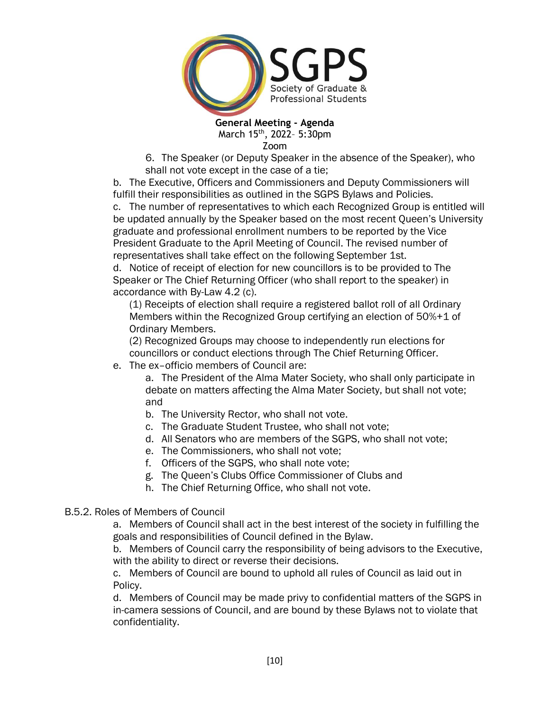

6. The Speaker (or Deputy Speaker in the absence of the Speaker), who shall not vote except in the case of a tie;

b. The Executive, Officers and Commissioners and Deputy Commissioners will fulfill their responsibilities as outlined in the SGPS Bylaws and Policies.

c. The number of representatives to which each Recognized Group is entitled will be updated annually by the Speaker based on the most recent Queen's University graduate and professional enrollment numbers to be reported by the Vice President Graduate to the April Meeting of Council. The revised number of representatives shall take effect on the following September 1st.

d. Notice of receipt of election for new councillors is to be provided to The Speaker or The Chief Returning Officer (who shall report to the speaker) in accordance with By-Law 4.2 (c).

(1) Receipts of election shall require a registered ballot roll of all Ordinary Members within the Recognized Group certifying an election of 50%+1 of Ordinary Members.

(2) Recognized Groups may choose to independently run elections for councillors or conduct elections through The Chief Returning Officer.

e. The ex–officio members of Council are:

a. The President of the Alma Mater Society, who shall only participate in debate on matters affecting the Alma Mater Society, but shall not vote; and

- b. The University Rector, who shall not vote.
- c. The Graduate Student Trustee, who shall not vote;
- d. All Senators who are members of the SGPS, who shall not vote;
- e. The Commissioners, who shall not vote;
- f. Officers of the SGPS, who shall note vote;
- g. The Queen's Clubs Office Commissioner of Clubs and
- h. The Chief Returning Office, who shall not vote.

## B.5.2. Roles of Members of Council

a. Members of Council shall act in the best interest of the society in fulfilling the goals and responsibilities of Council defined in the Bylaw.

b. Members of Council carry the responsibility of being advisors to the Executive, with the ability to direct or reverse their decisions.

c. Members of Council are bound to uphold all rules of Council as laid out in Policy.

d. Members of Council may be made privy to confidential matters of the SGPS in in-camera sessions of Council, and are bound by these Bylaws not to violate that confidentiality.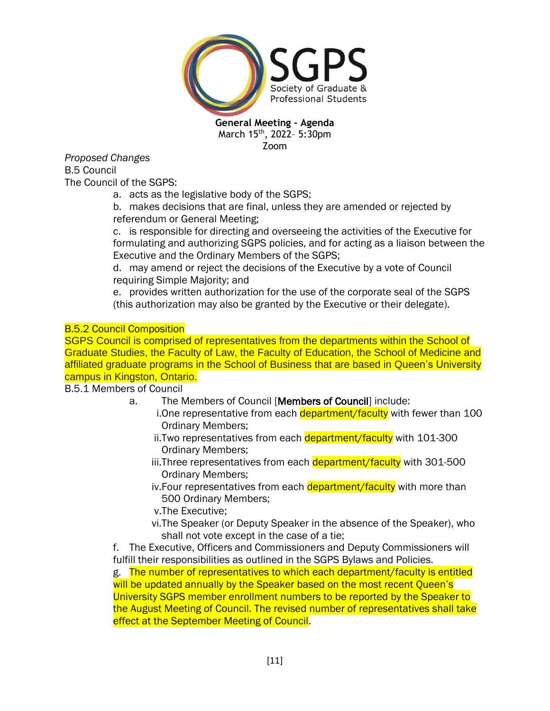

*Proposed Changes* B.5 Council The Council of the SGPS:

a. acts as the legislative body of the SGPS;

b. makes decisions that are final, unless they are amended or rejected by referendum or General Meeting;

c. is responsible for directing and overseeing the activities of the Executive for formulating and authorizing SGPS policies, and for acting as a liaison between the Executive and the Ordinary Members of the SGPS;

d. may amend or reject the decisions of the Executive by a vote of Council requiring Simple Majority; and

e. provides written authorization for the use of the corporate seal of the SGPS (this authorization may also be granted by the Executive or their delegate).

## B.5.2 Council Composition

SGPS Council is comprised of representatives from the departments within the School of Graduate Studies, the Faculty of Law, the Faculty of Education, the School of Medicine and affiliated graduate programs in the School of Business that are based in Queen's University campus in Kingston, Ontario.

## B.5.1 Members of Council

- a. The Members of Council [Members of Council] include:
	- i.One representative from each department/faculty with fewer than 100 Ordinary Members;
	- ii.Two representatives from each **department/faculty** with 101-300 Ordinary Members;
	- iii.Three representatives from each department/faculty with 301-500 Ordinary Members;
	- iv.Four representatives from each department/faculty with more than 500 Ordinary Members;
	- v.The Executive;
	- vi.The Speaker (or Deputy Speaker in the absence of the Speaker), who shall not vote except in the case of a tie;

f. The Executive, Officers and Commissioners and Deputy Commissioners will fulfill their responsibilities as outlined in the SGPS Bylaws and Policies.

g. The number of representatives to which each department/faculty is entitled will be updated annually by the Speaker based on the most recent Queen's University SGPS member enrollment numbers to be reported by the Speaker to the August Meeting of Council. The revised number of representatives shall take effect at the September Meeting of Council.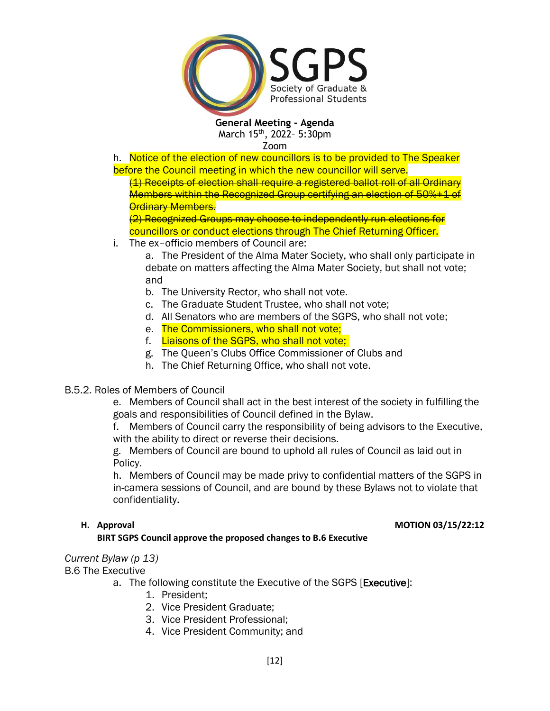

h. Notice of the election of new councillors is to be provided to The Speaker before the Council meeting in which the new councillor will serve.

(1) Receipts of election shall require a registered ballot roll of all Ordinary Members within the Recognized Group certifying an election of 50%+1 of **Ordinary Members.** 

(2) Recognized Groups may choose to independently run elections for councillors or conduct elections through The Chief Returning Officer.

i. The ex–officio members of Council are:

a. The President of the Alma Mater Society, who shall only participate in debate on matters affecting the Alma Mater Society, but shall not vote; and

- b. The University Rector, who shall not vote.
- c. The Graduate Student Trustee, who shall not vote;
- d. All Senators who are members of the SGPS, who shall not vote;
- e. The Commissioners, who shall not vote;
- f. Liaisons of the SGPS, who shall not vote;
- g. The Queen's Clubs Office Commissioner of Clubs and
- h. The Chief Returning Office, who shall not vote.
- B.5.2. Roles of Members of Council

e. Members of Council shall act in the best interest of the society in fulfilling the goals and responsibilities of Council defined in the Bylaw.

f. Members of Council carry the responsibility of being advisors to the Executive, with the ability to direct or reverse their decisions.

g. Members of Council are bound to uphold all rules of Council as laid out in Policy.

h. Members of Council may be made privy to confidential matters of the SGPS in in-camera sessions of Council, and are bound by these Bylaws not to violate that confidentiality.

### **H. Approval MOTION 03/15/22:12**

### **BIRT SGPS Council approve the proposed changes to B.6 Executive**

# *Current Bylaw (p 13)*

B.6 The Executive

- a. The following constitute the Executive of the SGPS [Executive]:
	- 1. President;
	- 2. Vice President Graduate;
	- 3. Vice President Professional;
	- 4. Vice President Community; and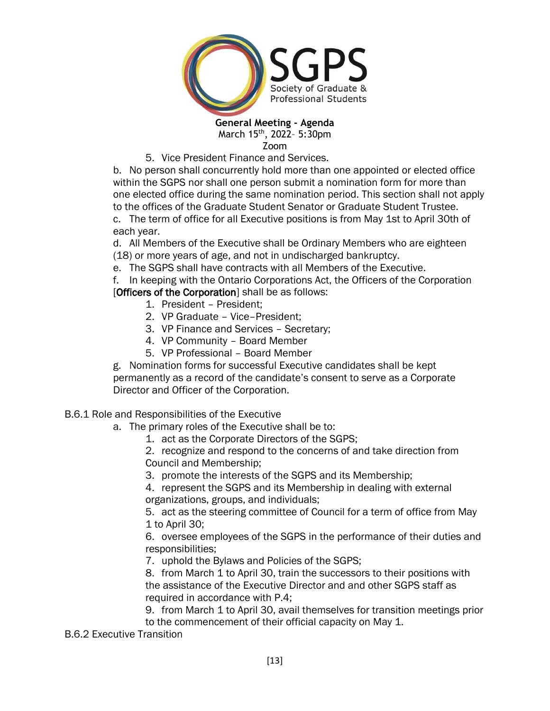

Zoom

5. Vice President Finance and Services.

b. No person shall concurrently hold more than one appointed or elected office within the SGPS nor shall one person submit a nomination form for more than one elected office during the same nomination period. This section shall not apply to the offices of the Graduate Student Senator or Graduate Student Trustee. c. The term of office for all Executive positions is from May 1st to April 30th of each year.

d. All Members of the Executive shall be Ordinary Members who are eighteen (18) or more years of age, and not in undischarged bankruptcy.

e. The SGPS shall have contracts with all Members of the Executive.

f. In keeping with the Ontario Corporations Act, the Officers of the Corporation [Officers of the Corporation] shall be as follows:

- 1. President President;
- 2. VP Graduate Vice–President;
- 3. VP Finance and Services Secretary;
- 4. VP Community Board Member
- 5. VP Professional Board Member

g. Nomination forms for successful Executive candidates shall be kept permanently as a record of the candidate's consent to serve as a Corporate Director and Officer of the Corporation.

## B.6.1 Role and Responsibilities of the Executive

- a. The primary roles of the Executive shall be to:
	- 1. act as the Corporate Directors of the SGPS;

2. recognize and respond to the concerns of and take direction from Council and Membership;

3. promote the interests of the SGPS and its Membership;

4. represent the SGPS and its Membership in dealing with external organizations, groups, and individuals;

5. act as the steering committee of Council for a term of office from May 1 to April 30;

6. oversee employees of the SGPS in the performance of their duties and responsibilities;

7. uphold the Bylaws and Policies of the SGPS;

8. from March 1 to April 30, train the successors to their positions with the assistance of the Executive Director and and other SGPS staff as required in accordance with P.4;

9. from March 1 to April 30, avail themselves for transition meetings prior to the commencement of their official capacity on May 1.

B.6.2 Executive Transition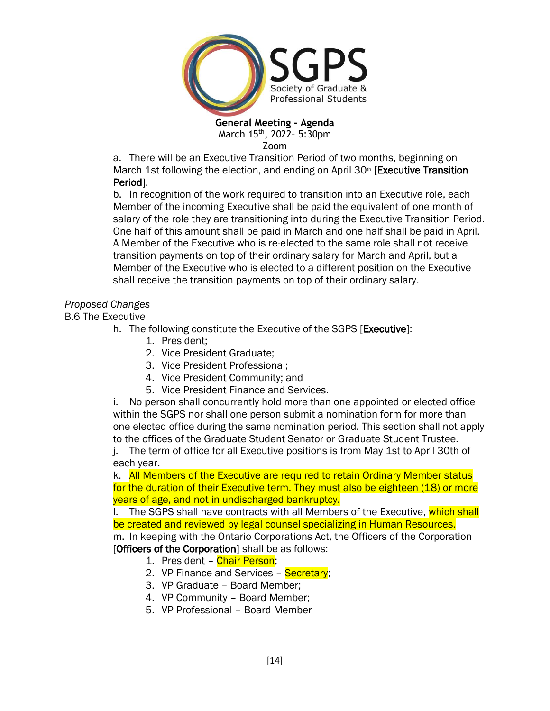

Zoom

a. There will be an Executive Transition Period of two months, beginning on March 1st following the election, and ending on April 30<sup>th</sup> [Executive Transition] Period].

b. In recognition of the work required to transition into an Executive role, each Member of the incoming Executive shall be paid the equivalent of one month of salary of the role they are transitioning into during the Executive Transition Period. One half of this amount shall be paid in March and one half shall be paid in April. A Member of the Executive who is re-elected to the same role shall not receive transition payments on top of their ordinary salary for March and April, but a Member of the Executive who is elected to a different position on the Executive shall receive the transition payments on top of their ordinary salary.

# *Proposed Changes*

B.6 The Executive

- h. The following constitute the Executive of the SGPS [Executive]:
	- 1. President;
	- 2. Vice President Graduate;
	- 3. Vice President Professional;
	- 4. Vice President Community; and
	- 5. Vice President Finance and Services.

i. No person shall concurrently hold more than one appointed or elected office within the SGPS nor shall one person submit a nomination form for more than one elected office during the same nomination period. This section shall not apply to the offices of the Graduate Student Senator or Graduate Student Trustee.

j. The term of office for all Executive positions is from May 1st to April 30th of each year.

k. All Members of the Executive are required to retain Ordinary Member status for the duration of their Executive term. They must also be eighteen (18) or more years of age, and not in undischarged bankruptcy.

I. The SGPS shall have contracts with all Members of the Executive, which shall be created and reviewed by legal counsel specializing in Human Resources. m. In keeping with the Ontario Corporations Act, the Officers of the Corporation [Officers of the Corporation] shall be as follows:

- 1. President Chair Person;
- 2. VP Finance and Services Secretary;
- 3. VP Graduate Board Member;
- 4. VP Community Board Member;
- 5. VP Professional Board Member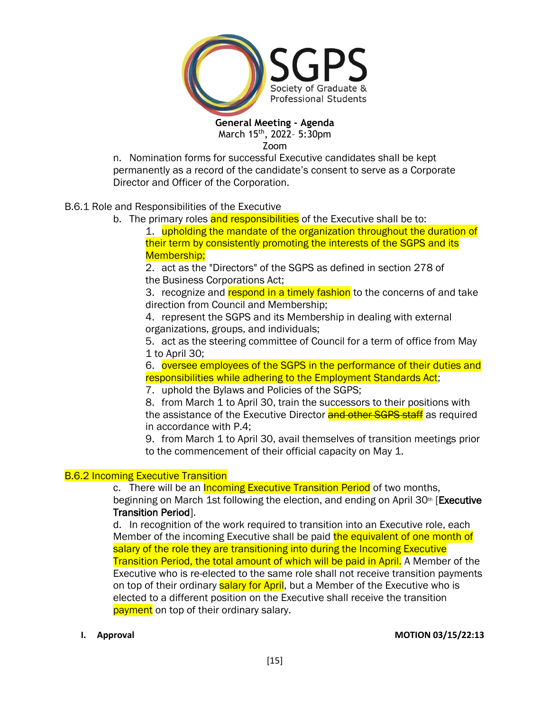

Zoom

n. Nomination forms for successful Executive candidates shall be kept permanently as a record of the candidate's consent to serve as a Corporate Director and Officer of the Corporation.

## B.6.1 Role and Responsibilities of the Executive

b. The primary roles and responsibilities of the Executive shall be to:

1. upholding the mandate of the organization throughout the duration of their term by consistently promoting the interests of the SGPS and its Membership;

2. act as the "Directors" of the SGPS as defined in section 278 of the Business Corporations Act;

3. recognize and respond in a timely fashion to the concerns of and take direction from Council and Membership;

4. represent the SGPS and its Membership in dealing with external organizations, groups, and individuals;

5. act as the steering committee of Council for a term of office from May 1 to April 30;

6. oversee employees of the SGPS in the performance of their duties and responsibilities while adhering to the Employment Standards Act;

7. uphold the Bylaws and Policies of the SGPS;

8. from March 1 to April 30, train the successors to their positions with the assistance of the Executive Director and other SGPS staff as required in accordance with P.4;

9. from March 1 to April 30, avail themselves of transition meetings prior to the commencement of their official capacity on May 1.

## **B.6.2 Incoming Executive Transition**

c. There will be an **Incoming Executive Transition Period** of two months, beginning on March 1st following the election, and ending on April 30<sup>th</sup> [Executive Transition Period].

d. In recognition of the work required to transition into an Executive role, each Member of the incoming Executive shall be paid the equivalent of one month of salary of the role they are transitioning into during the Incoming Executive Transition Period, the total amount of which will be paid in April. A Member of the Executive who is re-elected to the same role shall not receive transition payments on top of their ordinary salary for April, but a Member of the Executive who is elected to a different position on the Executive shall receive the transition payment on top of their ordinary salary.

### **I. Approval MOTION 03/15/22:13**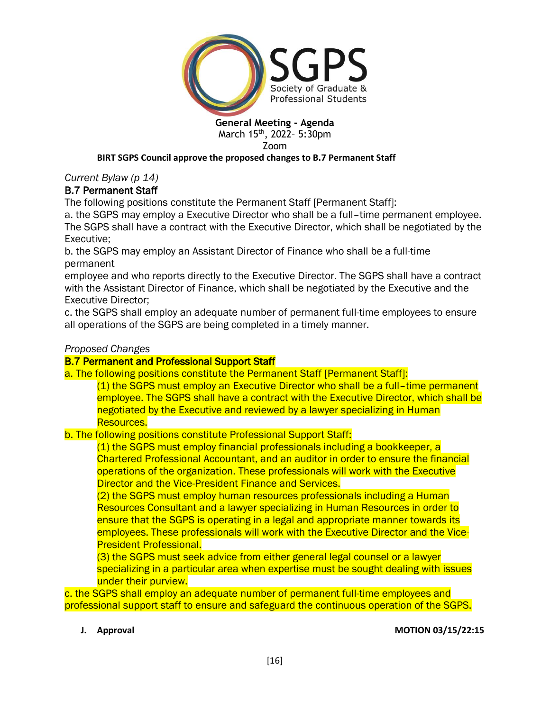

Zoom

## **BIRT SGPS Council approve the proposed changes to B.7 Permanent Staff**

*Current Bylaw (p 14)*

# B.7 Permanent Staff

The following positions constitute the Permanent Staff [Permanent Staff]:

a. the SGPS may employ a Executive Director who shall be a full–time permanent employee. The SGPS shall have a contract with the Executive Director, which shall be negotiated by the Executive;

b. the SGPS may employ an Assistant Director of Finance who shall be a full-time permanent

employee and who reports directly to the Executive Director. The SGPS shall have a contract with the Assistant Director of Finance, which shall be negotiated by the Executive and the Executive Director;

c. the SGPS shall employ an adequate number of permanent full-time employees to ensure all operations of the SGPS are being completed in a timely manner.

# *Proposed Changes*

# **B.7 Permanent and Professional Support Staff**

- a. The following positions constitute the Permanent Staff [Permanent Staff]:
	- (1) the SGPS must employ an Executive Director who shall be a full–time permanent employee. The SGPS shall have a contract with the Executive Director, which shall be negotiated by the Executive and reviewed by a lawyer specializing in Human Resources.

b. The following positions constitute Professional Support Staff:

(1) the SGPS must employ financial professionals including a bookkeeper, a Chartered Professional Accountant, and an auditor in order to ensure the financial operations of the organization. These professionals will work with the Executive Director and the Vice-President Finance and Services.

(2) the SGPS must employ human resources professionals including a Human Resources Consultant and a lawyer specializing in Human Resources in order to ensure that the SGPS is operating in a legal and appropriate manner towards its employees. These professionals will work with the Executive Director and the Vice-President Professional.

(3) the SGPS must seek advice from either general legal counsel or a lawyer specializing in a particular area when expertise must be sought dealing with issues under their purview.

c. the SGPS shall employ an adequate number of permanent full-time employees and professional support staff to ensure and safeguard the continuous operation of the SGPS.

### **J. Approval MOTION 03/15/22:15**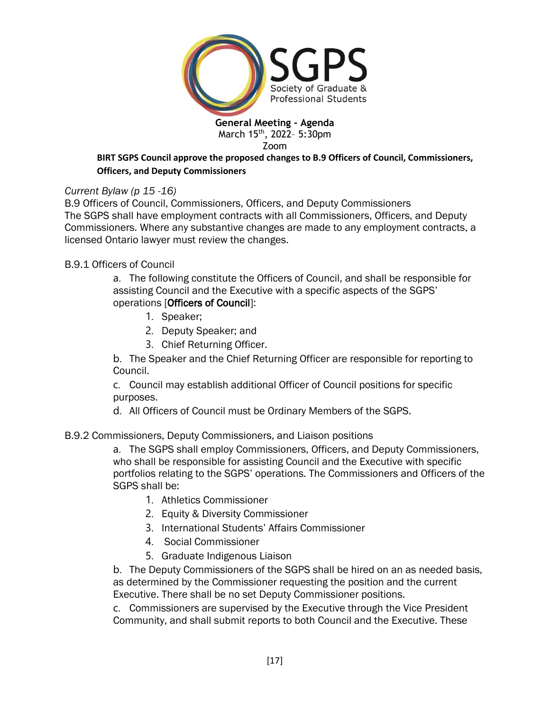

Zoom

## **BIRT SGPS Council approve the proposed changes to B.9 Officers of Council, Commissioners, Officers, and Deputy Commissioners**

# *Current Bylaw (p 15 -16)*

B.9 Officers of Council, Commissioners, Officers, and Deputy Commissioners The SGPS shall have employment contracts with all Commissioners, Officers, and Deputy Commissioners. Where any substantive changes are made to any employment contracts, a licensed Ontario lawyer must review the changes.

# B.9.1 Officers of Council

a. The following constitute the Officers of Council, and shall be responsible for assisting Council and the Executive with a specific aspects of the SGPS' operations [Officers of Council]:

- 1. Speaker;
- 2. Deputy Speaker; and
- 3. Chief Returning Officer.

b. The Speaker and the Chief Returning Officer are responsible for reporting to Council.

c. Council may establish additional Officer of Council positions for specific purposes.

d. All Officers of Council must be Ordinary Members of the SGPS.

# B.9.2 Commissioners, Deputy Commissioners, and Liaison positions

a. The SGPS shall employ Commissioners, Officers, and Deputy Commissioners, who shall be responsible for assisting Council and the Executive with specific portfolios relating to the SGPS' operations. The Commissioners and Officers of the SGPS shall be:

- 1. Athletics Commissioner
- 2. Equity & Diversity Commissioner
- 3. International Students' Affairs Commissioner
- 4. Social Commissioner
- 5. Graduate Indigenous Liaison

b. The Deputy Commissioners of the SGPS shall be hired on an as needed basis, as determined by the Commissioner requesting the position and the current Executive. There shall be no set Deputy Commissioner positions.

c. Commissioners are supervised by the Executive through the Vice President Community, and shall submit reports to both Council and the Executive. These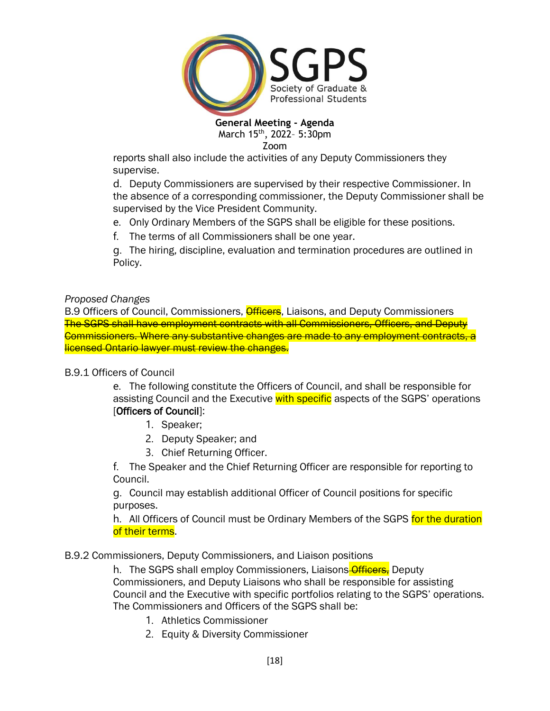

Zoom

reports shall also include the activities of any Deputy Commissioners they supervise.

d. Deputy Commissioners are supervised by their respective Commissioner. In the absence of a corresponding commissioner, the Deputy Commissioner shall be supervised by the Vice President Community.

- e. Only Ordinary Members of the SGPS shall be eligible for these positions.
- f. The terms of all Commissioners shall be one year.

g. The hiring, discipline, evaluation and termination procedures are outlined in Policy.

# *Proposed Changes*

B.9 Officers of Council, Commissioners, *Officers*, Liaisons, and Deputy Commissioners The SGPS shall have employment contracts with all Commissioners, Officers, and Deputy Commissioners. Where any substantive changes are made to any employment contracts, a licensed Ontario lawyer must review the changes.

# B.9.1 Officers of Council

e. The following constitute the Officers of Council, and shall be responsible for assisting Council and the Executive with specific aspects of the SGPS' operations [Officers of Council]:

- 1. Speaker;
- 2. Deputy Speaker; and
- 3. Chief Returning Officer.

f. The Speaker and the Chief Returning Officer are responsible for reporting to Council.

g. Council may establish additional Officer of Council positions for specific purposes.

h. All Officers of Council must be Ordinary Members of the SGPS for the duration of their terms.

# B.9.2 Commissioners, Deputy Commissioners, and Liaison positions

h. The SGPS shall employ Commissioners, Liaisons Officers, Deputy Commissioners, and Deputy Liaisons who shall be responsible for assisting Council and the Executive with specific portfolios relating to the SGPS' operations. The Commissioners and Officers of the SGPS shall be:

- 1. Athletics Commissioner
- 2. Equity & Diversity Commissioner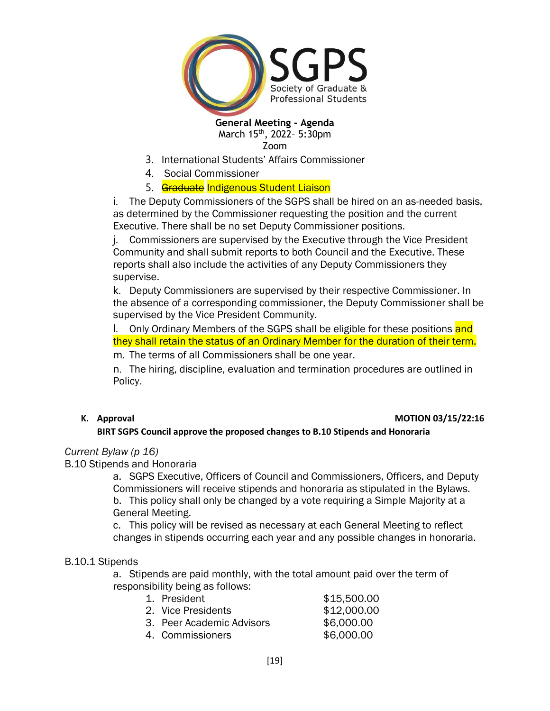

Zoom

- 3. International Students' Affairs Commissioner
- 4. Social Commissioner

### 5. Graduate Indigenous Student Liaison

i. The Deputy Commissioners of the SGPS shall be hired on an as-needed basis, as determined by the Commissioner requesting the position and the current Executive. There shall be no set Deputy Commissioner positions.

j. Commissioners are supervised by the Executive through the Vice President Community and shall submit reports to both Council and the Executive. These reports shall also include the activities of any Deputy Commissioners they supervise.

k. Deputy Commissioners are supervised by their respective Commissioner. In the absence of a corresponding commissioner, the Deputy Commissioner shall be supervised by the Vice President Community.

l. Only Ordinary Members of the SGPS shall be eligible for these positions and they shall retain the status of an Ordinary Member for the duration of their term.

m. The terms of all Commissioners shall be one year.

n. The hiring, discipline, evaluation and termination procedures are outlined in Policy.

### **K.** Approval **MOTION 03/15/22:16**

### **BIRT SGPS Council approve the proposed changes to B.10 Stipends and Honoraria**

### *Current Bylaw (p 16)*

B.10 Stipends and Honoraria

a. SGPS Executive, Officers of Council and Commissioners, Officers, and Deputy Commissioners will receive stipends and honoraria as stipulated in the Bylaws. b. This policy shall only be changed by a vote requiring a Simple Majority at a General Meeting.

c. This policy will be revised as necessary at each General Meeting to reflect changes in stipends occurring each year and any possible changes in honoraria.

### B.10.1 Stipends

a. Stipends are paid monthly, with the total amount paid over the term of responsibility being as follows:

| 1. President              | \$15,500.00 |
|---------------------------|-------------|
|                           |             |
| 2. Vice Presidents        | \$12,000.00 |
| 3. Peer Academic Advisors | \$6,000.00  |
| 4. Commissioners          | \$6,000.00  |
|                           |             |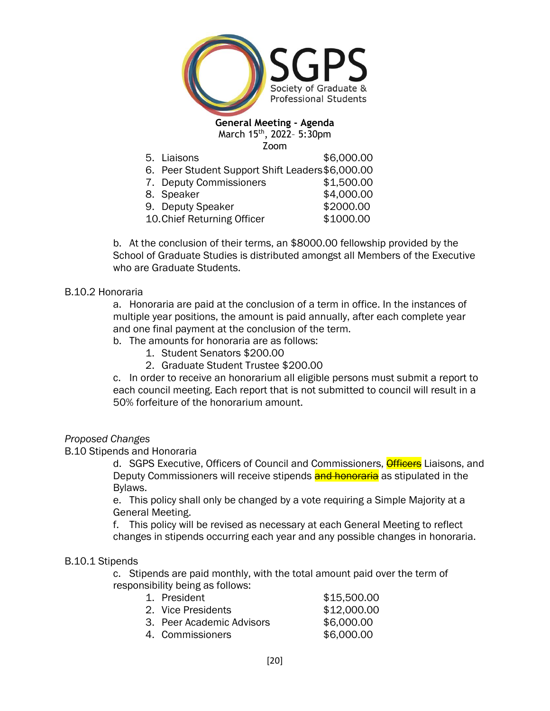

5. Liaisons \$6,000.00

- 6. Peer Student Support Shift Leaders\$6,000.00
- 7. Deputy Commissioners \$1,500.00
- 8. Speaker \$4,000.00
- 9. Deputy Speaker \$2000.00
- 10.Chief Returning Officer \$1000.00

b. At the conclusion of their terms, an \$8000.00 fellowship provided by the School of Graduate Studies is distributed amongst all Members of the Executive who are Graduate Students.

### B.10.2 Honoraria

a. Honoraria are paid at the conclusion of a term in office. In the instances of multiple year positions, the amount is paid annually, after each complete year and one final payment at the conclusion of the term.

- b. The amounts for honoraria are as follows:
	- 1. Student Senators \$200.00
	- 2. Graduate Student Trustee \$200.00

c. In order to receive an honorarium all eligible persons must submit a report to each council meeting. Each report that is not submitted to council will result in a 50% forfeiture of the honorarium amount.

### *Proposed Changes*

### B.10 Stipends and Honoraria

d. SGPS Executive, Officers of Council and Commissioners, **Officers** Liaisons, and Deputy Commissioners will receive stipends **and honoraria** as stipulated in the Bylaws.

e. This policy shall only be changed by a vote requiring a Simple Majority at a General Meeting.

f. This policy will be revised as necessary at each General Meeting to reflect changes in stipends occurring each year and any possible changes in honoraria.

### B.10.1 Stipends

c. Stipends are paid monthly, with the total amount paid over the term of responsibility being as follows:

| 1. President              | \$15,500.00 |
|---------------------------|-------------|
|                           |             |
| 2. Vice Presidents        | \$12,000.00 |
| 3. Peer Academic Advisors | \$6,000.00  |
| 4. Commissioners          | \$6,000.00  |
|                           |             |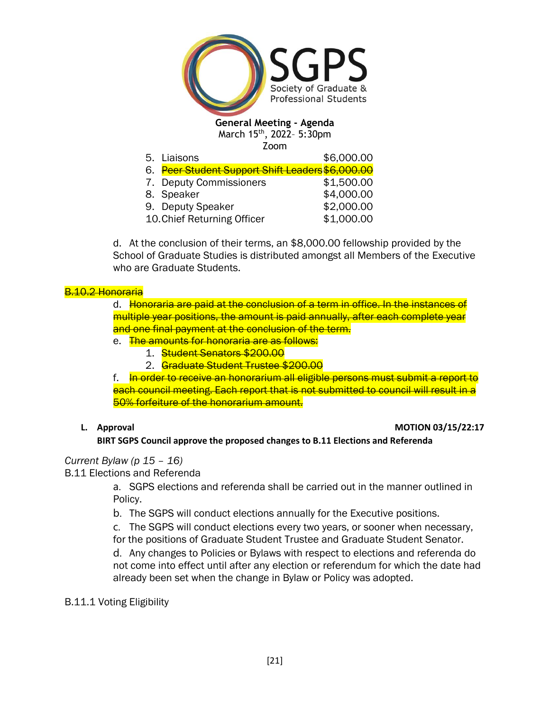

| Zoom                                                         |            |
|--------------------------------------------------------------|------------|
| 5. Liaisons                                                  | \$6,000.00 |
| 6. <mark>Peer Student Support Shift Leaders\$6,000.00</mark> |            |
| 7. Deputy Commissioners                                      | \$1,500.00 |

| 8. Speaker                  | \$4,000.00 |
|-----------------------------|------------|
| 9. Deputy Speaker           | \$2,000.00 |
| 10. Chief Returning Officer | \$1,000.00 |

d. At the conclusion of their terms, an \$8,000.00 fellowship provided by the School of Graduate Studies is distributed amongst all Members of the Executive who are Graduate Students.

## B.10.2 Honoraria

d. Honoraria are paid at the conclusion of a term in office. In the instances of multiple year positions, the amount is paid annually, after each complete year and one final payment at the conclusion of the term.

- e. The amounts for honoraria are as follows:
	- 1. Student Senators \$200.00
	- 2. Graduate Student Trustee \$200.00

f. In order to receive an honorarium all eligible persons must submit a report to each council meeting. Each report that is not submitted to council will result in a 50% forfeiture of the honorarium amount.

## **L.** Approval **MOTION 03/15/22:17**

**BIRT SGPS Council approve the proposed changes to B.11 Elections and Referenda**

# *Current Bylaw (p 15 – 16)*

## B.11 Elections and Referenda

a. SGPS elections and referenda shall be carried out in the manner outlined in Policy.

- b. The SGPS will conduct elections annually for the Executive positions.
- c. The SGPS will conduct elections every two years, or sooner when necessary, for the positions of Graduate Student Trustee and Graduate Student Senator.

d. Any changes to Policies or Bylaws with respect to elections and referenda do not come into effect until after any election or referendum for which the date had already been set when the change in Bylaw or Policy was adopted.

# B.11.1 Voting Eligibility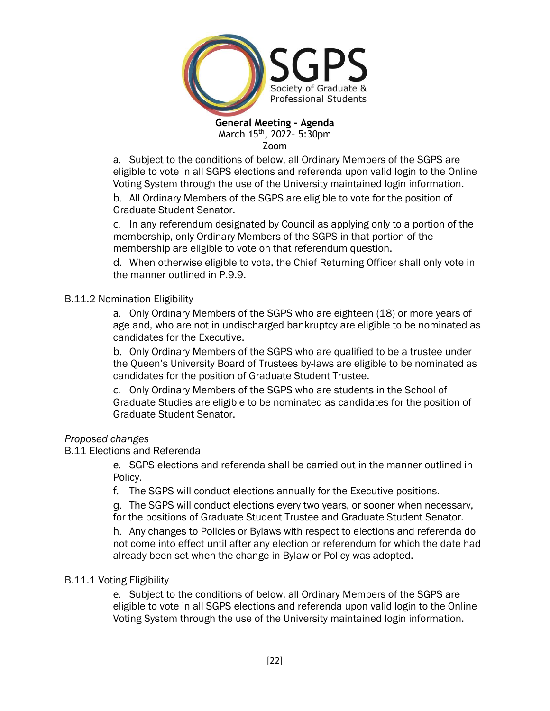

a. Subject to the conditions of below, all Ordinary Members of the SGPS are eligible to vote in all SGPS elections and referenda upon valid login to the Online Voting System through the use of the University maintained login information.

b. All Ordinary Members of the SGPS are eligible to vote for the position of Graduate Student Senator.

c. In any referendum designated by Council as applying only to a portion of the membership, only Ordinary Members of the SGPS in that portion of the membership are eligible to vote on that referendum question.

d. When otherwise eligible to vote, the Chief Returning Officer shall only vote in the manner outlined in P.9.9.

# B.11.2 Nomination Eligibility

a. Only Ordinary Members of the SGPS who are eighteen (18) or more years of age and, who are not in undischarged bankruptcy are eligible to be nominated as candidates for the Executive.

b. Only Ordinary Members of the SGPS who are qualified to be a trustee under the Queen's University Board of Trustees by-laws are eligible to be nominated as candidates for the position of Graduate Student Trustee.

c. Only Ordinary Members of the SGPS who are students in the School of Graduate Studies are eligible to be nominated as candidates for the position of Graduate Student Senator.

## *Proposed changes*

## B.11 Elections and Referenda

e. SGPS elections and referenda shall be carried out in the manner outlined in Policy.

f. The SGPS will conduct elections annually for the Executive positions.

g. The SGPS will conduct elections every two years, or sooner when necessary, for the positions of Graduate Student Trustee and Graduate Student Senator.

h. Any changes to Policies or Bylaws with respect to elections and referenda do not come into effect until after any election or referendum for which the date had already been set when the change in Bylaw or Policy was adopted.

## B.11.1 Voting Eligibility

e. Subject to the conditions of below, all Ordinary Members of the SGPS are eligible to vote in all SGPS elections and referenda upon valid login to the Online Voting System through the use of the University maintained login information.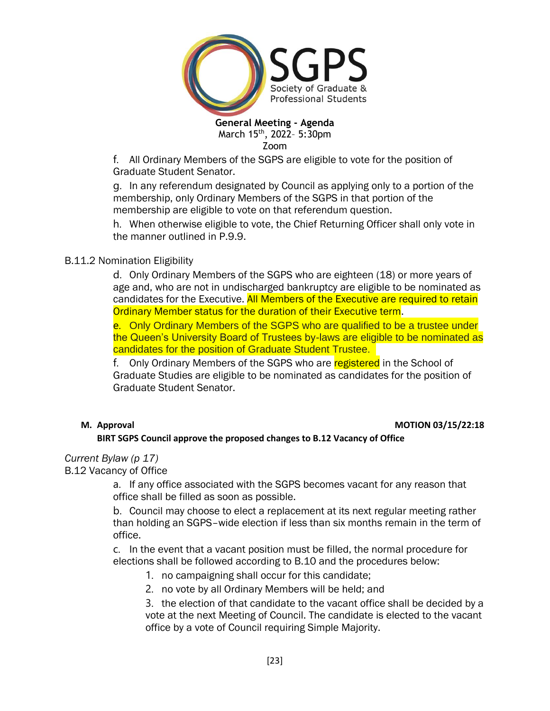

f. All Ordinary Members of the SGPS are eligible to vote for the position of Graduate Student Senator.

g. In any referendum designated by Council as applying only to a portion of the membership, only Ordinary Members of the SGPS in that portion of the membership are eligible to vote on that referendum question.

h. When otherwise eligible to vote, the Chief Returning Officer shall only vote in the manner outlined in P.9.9.

# B.11.2 Nomination Eligibility

d. Only Ordinary Members of the SGPS who are eighteen (18) or more years of age and, who are not in undischarged bankruptcy are eligible to be nominated as candidates for the Executive. All Members of the Executive are required to retain Ordinary Member status for the duration of their Executive term.

e. Only Ordinary Members of the SGPS who are qualified to be a trustee under the Queen's University Board of Trustees by-laws are eligible to be nominated as candidates for the position of Graduate Student Trustee.

f. Only Ordinary Members of the SGPS who are registered in the School of Graduate Studies are eligible to be nominated as candidates for the position of Graduate Student Senator.

### **M. Approval MOTION 03/15/22:18**

# **BIRT SGPS Council approve the proposed changes to B.12 Vacancy of Office**

*Current Bylaw (p 17)* B.12 Vacancy of Office

> a. If any office associated with the SGPS becomes vacant for any reason that office shall be filled as soon as possible.

b. Council may choose to elect a replacement at its next regular meeting rather than holding an SGPS–wide election if less than six months remain in the term of office.

c. In the event that a vacant position must be filled, the normal procedure for elections shall be followed according to B.10 and the procedures below:

- 1. no campaigning shall occur for this candidate;
- 2. no vote by all Ordinary Members will be held; and

3. the election of that candidate to the vacant office shall be decided by a vote at the next Meeting of Council. The candidate is elected to the vacant office by a vote of Council requiring Simple Majority.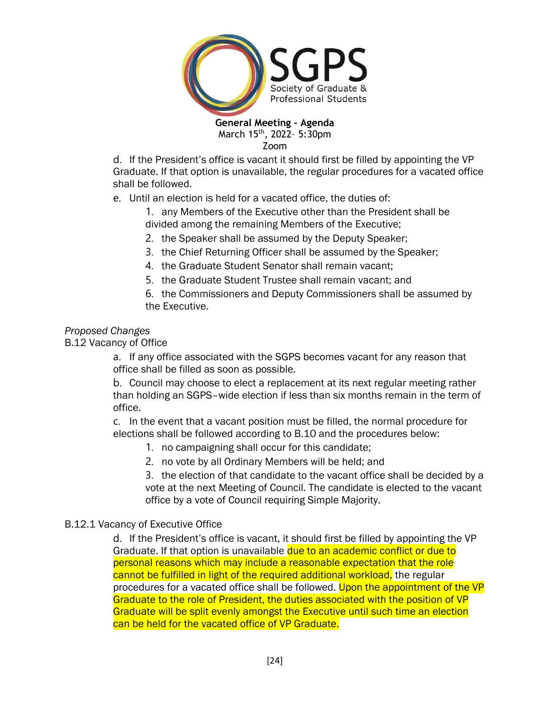

Zoom

d. If the President's office is vacant it should first be filled by appointing the VP Graduate. If that option is unavailable, the regular procedures for a vacated office shall be followed.

e. Until an election is held for a vacated office, the duties of:

1. any Members of the Executive other than the President shall be divided among the remaining Members of the Executive;

- 2. the Speaker shall be assumed by the Deputy Speaker;
- 3. the Chief Returning Officer shall be assumed by the Speaker;
- 4. the Graduate Student Senator shall remain vacant;
- 5. the Graduate Student Trustee shall remain vacant; and

6. the Commissioners and Deputy Commissioners shall be assumed by the Executive.

# *Proposed Changes*

B.12 Vacancy of Office

a. If any office associated with the SGPS becomes vacant for any reason that office shall be filled as soon as possible.

b. Council may choose to elect a replacement at its next regular meeting rather than holding an SGPS–wide election if less than six months remain in the term of office.

c. In the event that a vacant position must be filled, the normal procedure for elections shall be followed according to B.10 and the procedures below:

- 1. no campaigning shall occur for this candidate;
- 2. no vote by all Ordinary Members will be held; and

3. the election of that candidate to the vacant office shall be decided by a vote at the next Meeting of Council. The candidate is elected to the vacant office by a vote of Council requiring Simple Majority.

# B.12.1 Vacancy of Executive Office

d. If the President's office is vacant, it should first be filled by appointing the VP Graduate. If that option is unavailable due to an academic conflict or due to personal reasons which may include a reasonable expectation that the role cannot be fulfilled in light of the required additional workload, the regular procedures for a vacated office shall be followed. Upon the appointment of the VP Graduate to the role of President, the duties associated with the position of VP Graduate will be split evenly amongst the Executive until such time an election can be held for the vacated office of VP Graduate.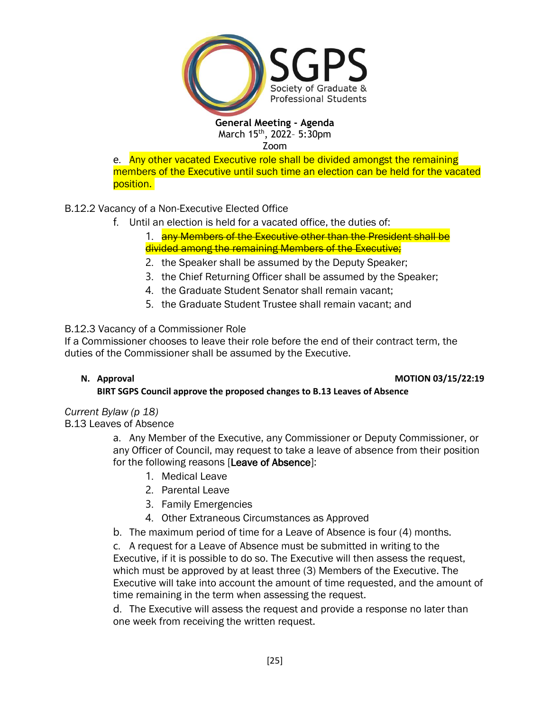

e. Any other vacated Executive role shall be divided amongst the remaining members of the Executive until such time an election can be held for the vacated position.

# B.12.2 Vacancy of a Non-Executive Elected Office

f. Until an election is held for a vacated office, the duties of:

1. **any Members of the Executive other than the President shall be** divided among the remaining Members of the Executive;

- 2. the Speaker shall be assumed by the Deputy Speaker;
- 3. the Chief Returning Officer shall be assumed by the Speaker;
- 4. the Graduate Student Senator shall remain vacant;
- 5. the Graduate Student Trustee shall remain vacant; and

# B.12.3 Vacancy of a Commissioner Role

If a Commissioner chooses to leave their role before the end of their contract term, the duties of the Commissioner shall be assumed by the Executive.

## **N.** Approval **MOTION 03/15/22:19**

# **BIRT SGPS Council approve the proposed changes to B.13 Leaves of Absence**

## *Current Bylaw (p 18)*

B.13 Leaves of Absence

a. Any Member of the Executive, any Commissioner or Deputy Commissioner, or any Officer of Council, may request to take a leave of absence from their position for the following reasons [Leave of Absence]:

- 1. Medical Leave
- 2. Parental Leave
- 3. Family Emergencies
- 4. Other Extraneous Circumstances as Approved
- b. The maximum period of time for a Leave of Absence is four (4) months.

c. A request for a Leave of Absence must be submitted in writing to the Executive, if it is possible to do so. The Executive will then assess the request, which must be approved by at least three (3) Members of the Executive. The Executive will take into account the amount of time requested, and the amount of time remaining in the term when assessing the request.

d. The Executive will assess the request and provide a response no later than one week from receiving the written request.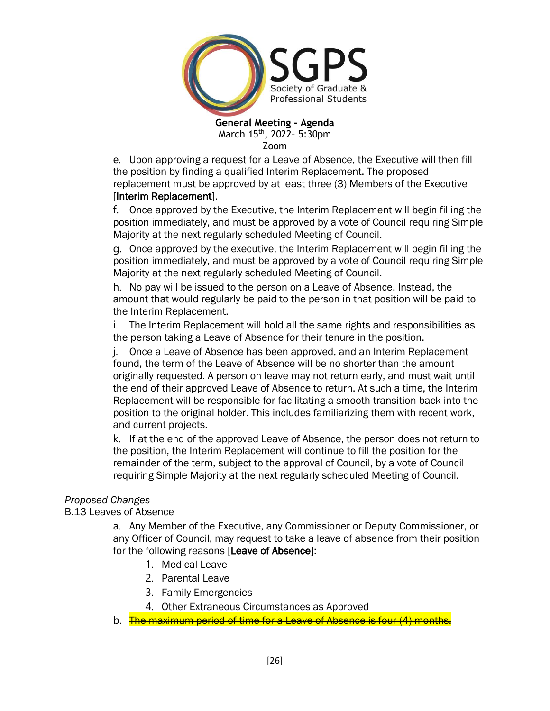

e. Upon approving a request for a Leave of Absence, the Executive will then fill the position by finding a qualified Interim Replacement. The proposed replacement must be approved by at least three (3) Members of the Executive [Interim Replacement].

f. Once approved by the Executive, the Interim Replacement will begin filling the position immediately, and must be approved by a vote of Council requiring Simple Majority at the next regularly scheduled Meeting of Council.

g. Once approved by the executive, the Interim Replacement will begin filling the position immediately, and must be approved by a vote of Council requiring Simple Majority at the next regularly scheduled Meeting of Council.

h. No pay will be issued to the person on a Leave of Absence. Instead, the amount that would regularly be paid to the person in that position will be paid to the Interim Replacement.

i. The Interim Replacement will hold all the same rights and responsibilities as the person taking a Leave of Absence for their tenure in the position.

j. Once a Leave of Absence has been approved, and an Interim Replacement found, the term of the Leave of Absence will be no shorter than the amount originally requested. A person on leave may not return early, and must wait until the end of their approved Leave of Absence to return. At such a time, the Interim Replacement will be responsible for facilitating a smooth transition back into the position to the original holder. This includes familiarizing them with recent work, and current projects.

k. If at the end of the approved Leave of Absence, the person does not return to the position, the Interim Replacement will continue to fill the position for the remainder of the term, subject to the approval of Council, by a vote of Council requiring Simple Majority at the next regularly scheduled Meeting of Council.

## *Proposed Changes*

B.13 Leaves of Absence

a. Any Member of the Executive, any Commissioner or Deputy Commissioner, or any Officer of Council, may request to take a leave of absence from their position for the following reasons [Leave of Absence]:

- 1. Medical Leave
- 2. Parental Leave
- 3. Family Emergencies
- 4. Other Extraneous Circumstances as Approved
- b. The maximum period of time for a Leave of Absence is four (4) months.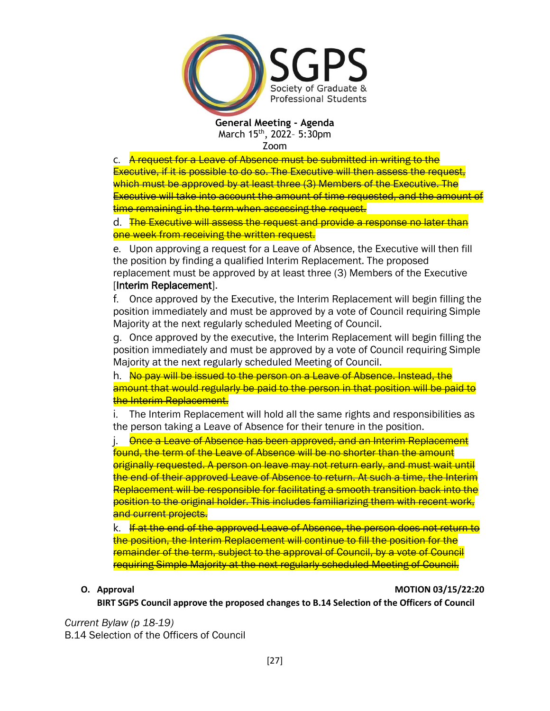

c. A request for a Leave of Absence must be submitted in writing to the Executive, if it is possible to do so. The Executive will then assess the request, which must be approved by at least three (3) Members of the Executive. The Executive will take into account the amount of time requested, and the amount of time remaining in the term when assessing the request.

d. The Executive will assess the request and provide a response no later than one week from receiving the written request.

e. Upon approving a request for a Leave of Absence, the Executive will then fill the position by finding a qualified Interim Replacement. The proposed replacement must be approved by at least three (3) Members of the Executive [Interim Replacement].

f. Once approved by the Executive, the Interim Replacement will begin filling the position immediately and must be approved by a vote of Council requiring Simple Majority at the next regularly scheduled Meeting of Council.

g. Once approved by the executive, the Interim Replacement will begin filling the position immediately and must be approved by a vote of Council requiring Simple Majority at the next regularly scheduled Meeting of Council.

h. No pay will be issued to the person on a Leave of Absence. Instead, the amount that would regularly be paid to the person in that position will be paid to the Interim Replacement.

i. The Interim Replacement will hold all the same rights and responsibilities as the person taking a Leave of Absence for their tenure in the position.

**Once a Leave of Absence has been approved, and an Interim Replacement** found, the term of the Leave of Absence will be no shorter than the amount originally requested. A person on leave may not return early, and must wait until the end of their approved Leave of Absence to return. At such a time, the Interim Replacement will be responsible for facilitating a smooth transition back into the position to the original holder. This includes familiarizing them with recent work, and current projects.

k. If at the end of the approved Leave of Absence, the person does not return to the position, the Interim Replacement will continue to fill the position for the remainder of the term, subject to the approval of Council, by a vote of Council requiring Simple Majority at the next regularly scheduled Meeting of Council.

### **O. Approval MOTION 03/15/22:20**

**BIRT SGPS Council approve the proposed changes to B.14 Selection of the Officers of Council**

*Current Bylaw (p 18-19)* B.14 Selection of the Officers of Council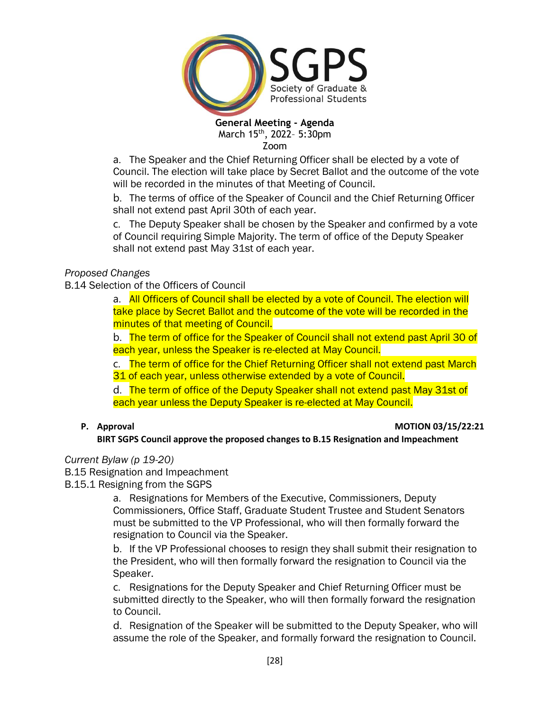

Zoom

a. The Speaker and the Chief Returning Officer shall be elected by a vote of Council. The election will take place by Secret Ballot and the outcome of the vote will be recorded in the minutes of that Meeting of Council.

b. The terms of office of the Speaker of Council and the Chief Returning Officer shall not extend past April 30th of each year.

c. The Deputy Speaker shall be chosen by the Speaker and confirmed by a vote of Council requiring Simple Majority. The term of office of the Deputy Speaker shall not extend past May 31st of each year.

## *Proposed Changes*

B.14 Selection of the Officers of Council

a. All Officers of Council shall be elected by a vote of Council. The election will take place by Secret Ballot and the outcome of the vote will be recorded in the minutes of that meeting of Council.

b. The term of office for the Speaker of Council shall not extend past April 30 of each year, unless the Speaker is re-elected at May Council.

c. The term of office for the Chief Returning Officer shall not extend past March 31 of each year, unless otherwise extended by a vote of Council.

d. The term of office of the Deputy Speaker shall not extend past May 31st of each year unless the Deputy Speaker is re-elected at May Council.

## **P. Approval MOTION 03/15/22:21**

## **BIRT SGPS Council approve the proposed changes to B.15 Resignation and Impeachment**

## *Current Bylaw (p 19-20)*

B.15 Resignation and Impeachment

B.15.1 Resigning from the SGPS

a. Resignations for Members of the Executive, Commissioners, Deputy Commissioners, Office Staff, Graduate Student Trustee and Student Senators must be submitted to the VP Professional, who will then formally forward the resignation to Council via the Speaker.

b. If the VP Professional chooses to resign they shall submit their resignation to the President, who will then formally forward the resignation to Council via the Speaker.

c. Resignations for the Deputy Speaker and Chief Returning Officer must be submitted directly to the Speaker, who will then formally forward the resignation to Council.

d. Resignation of the Speaker will be submitted to the Deputy Speaker, who will assume the role of the Speaker, and formally forward the resignation to Council.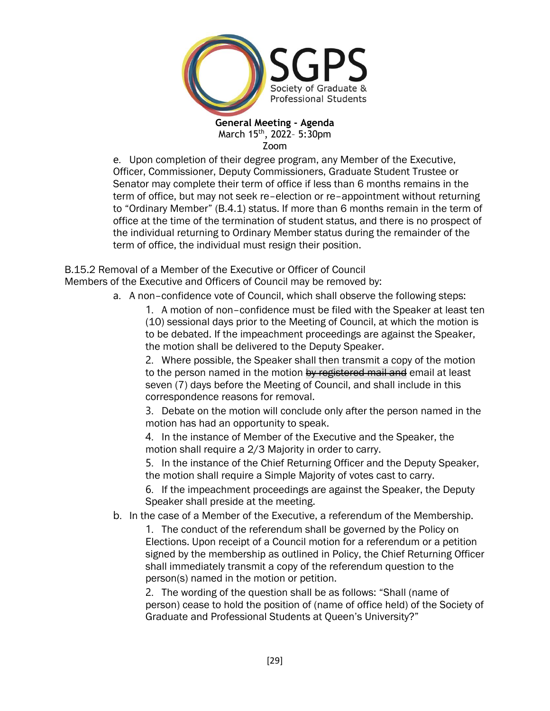

e. Upon completion of their degree program, any Member of the Executive, Officer, Commissioner, Deputy Commissioners, Graduate Student Trustee or Senator may complete their term of office if less than 6 months remains in the term of office, but may not seek re–election or re–appointment without returning to "Ordinary Member" (B.4.1) status. If more than 6 months remain in the term of office at the time of the termination of student status, and there is no prospect of the individual returning to Ordinary Member status during the remainder of the term of office, the individual must resign their position.

B.15.2 Removal of a Member of the Executive or Officer of Council Members of the Executive and Officers of Council may be removed by:

a. A non–confidence vote of Council, which shall observe the following steps:

1. A motion of non–confidence must be filed with the Speaker at least ten (10) sessional days prior to the Meeting of Council, at which the motion is to be debated. If the impeachment proceedings are against the Speaker, the motion shall be delivered to the Deputy Speaker.

2. Where possible, the Speaker shall then transmit a copy of the motion to the person named in the motion by registered mail and email at least seven (7) days before the Meeting of Council, and shall include in this correspondence reasons for removal.

3. Debate on the motion will conclude only after the person named in the motion has had an opportunity to speak.

4. In the instance of Member of the Executive and the Speaker, the motion shall require a 2/3 Majority in order to carry.

5. In the instance of the Chief Returning Officer and the Deputy Speaker, the motion shall require a Simple Majority of votes cast to carry.

6. If the impeachment proceedings are against the Speaker, the Deputy Speaker shall preside at the meeting.

b. In the case of a Member of the Executive, a referendum of the Membership.

1. The conduct of the referendum shall be governed by the Policy on Elections. Upon receipt of a Council motion for a referendum or a petition signed by the membership as outlined in Policy, the Chief Returning Officer shall immediately transmit a copy of the referendum question to the person(s) named in the motion or petition.

2. The wording of the question shall be as follows: "Shall (name of person) cease to hold the position of (name of office held) of the Society of Graduate and Professional Students at Queen's University?"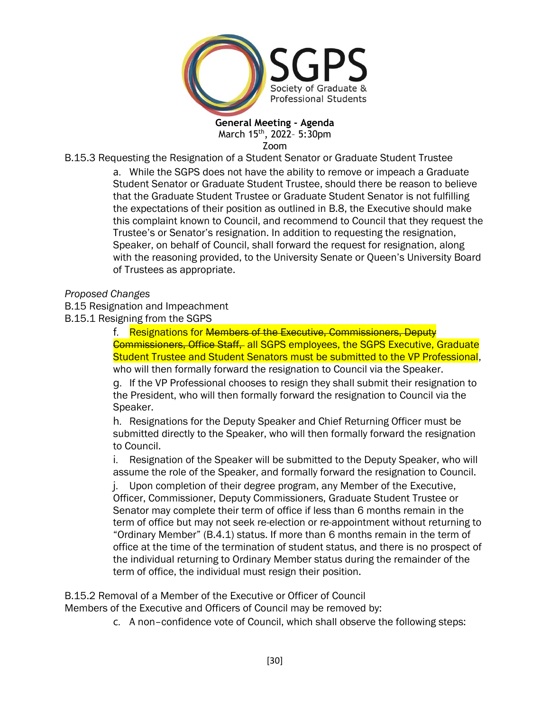

B.15.3 Requesting the Resignation of a Student Senator or Graduate Student Trustee

a. While the SGPS does not have the ability to remove or impeach a Graduate Student Senator or Graduate Student Trustee, should there be reason to believe that the Graduate Student Trustee or Graduate Student Senator is not fulfilling the expectations of their position as outlined in B.8, the Executive should make this complaint known to Council, and recommend to Council that they request the Trustee's or Senator's resignation. In addition to requesting the resignation, Speaker, on behalf of Council, shall forward the request for resignation, along with the reasoning provided, to the University Senate or Queen's University Board of Trustees as appropriate.

### *Proposed Changes*

- B.15 Resignation and Impeachment
- B.15.1 Resigning from the SGPS

f. Resignations for Members of the Executive, Commissioners, Deputy Commissioners, Office Staff, all SGPS employees, the SGPS Executive, Graduate Student Trustee and Student Senators must be submitted to the VP Professional, who will then formally forward the resignation to Council via the Speaker.

g. If the VP Professional chooses to resign they shall submit their resignation to the President, who will then formally forward the resignation to Council via the Speaker.

h. Resignations for the Deputy Speaker and Chief Returning Officer must be submitted directly to the Speaker, who will then formally forward the resignation to Council.

i. Resignation of the Speaker will be submitted to the Deputy Speaker, who will assume the role of the Speaker, and formally forward the resignation to Council.

j. Upon completion of their degree program, any Member of the Executive, Officer, Commissioner, Deputy Commissioners, Graduate Student Trustee or Senator may complete their term of office if less than 6 months remain in the term of office but may not seek re-election or re-appointment without returning to "Ordinary Member" (B.4.1) status. If more than 6 months remain in the term of office at the time of the termination of student status, and there is no prospect of the individual returning to Ordinary Member status during the remainder of the term of office, the individual must resign their position.

B.15.2 Removal of a Member of the Executive or Officer of Council

Members of the Executive and Officers of Council may be removed by:

c. A non–confidence vote of Council, which shall observe the following steps: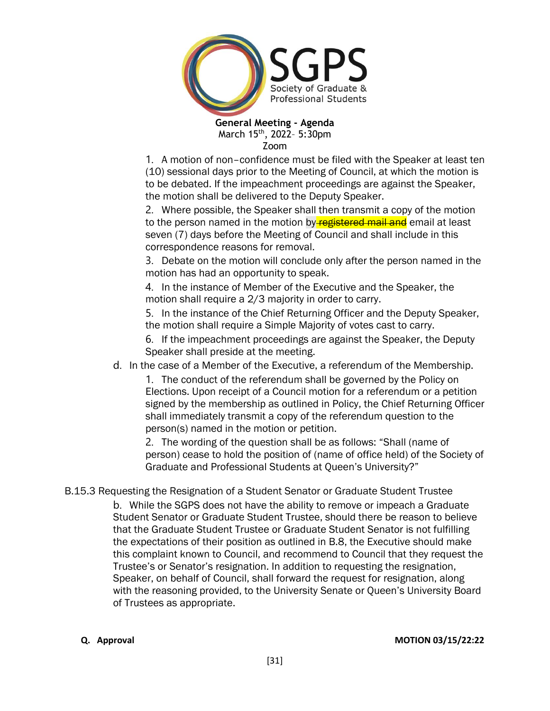

1. A motion of non–confidence must be filed with the Speaker at least ten (10) sessional days prior to the Meeting of Council, at which the motion is to be debated. If the impeachment proceedings are against the Speaker, the motion shall be delivered to the Deputy Speaker.

2. Where possible, the Speaker shall then transmit a copy of the motion to the person named in the motion by registered mail and email at least seven (7) days before the Meeting of Council and shall include in this correspondence reasons for removal.

3. Debate on the motion will conclude only after the person named in the motion has had an opportunity to speak.

4. In the instance of Member of the Executive and the Speaker, the motion shall require a 2/3 majority in order to carry.

5. In the instance of the Chief Returning Officer and the Deputy Speaker, the motion shall require a Simple Majority of votes cast to carry.

6. If the impeachment proceedings are against the Speaker, the Deputy Speaker shall preside at the meeting.

d. In the case of a Member of the Executive, a referendum of the Membership.

1. The conduct of the referendum shall be governed by the Policy on Elections. Upon receipt of a Council motion for a referendum or a petition signed by the membership as outlined in Policy, the Chief Returning Officer shall immediately transmit a copy of the referendum question to the person(s) named in the motion or petition.

2. The wording of the question shall be as follows: "Shall (name of person) cease to hold the position of (name of office held) of the Society of Graduate and Professional Students at Queen's University?"

B.15.3 Requesting the Resignation of a Student Senator or Graduate Student Trustee

b. While the SGPS does not have the ability to remove or impeach a Graduate Student Senator or Graduate Student Trustee, should there be reason to believe that the Graduate Student Trustee or Graduate Student Senator is not fulfilling the expectations of their position as outlined in B.8, the Executive should make this complaint known to Council, and recommend to Council that they request the Trustee's or Senator's resignation. In addition to requesting the resignation, Speaker, on behalf of Council, shall forward the request for resignation, along with the reasoning provided, to the University Senate or Queen's University Board of Trustees as appropriate.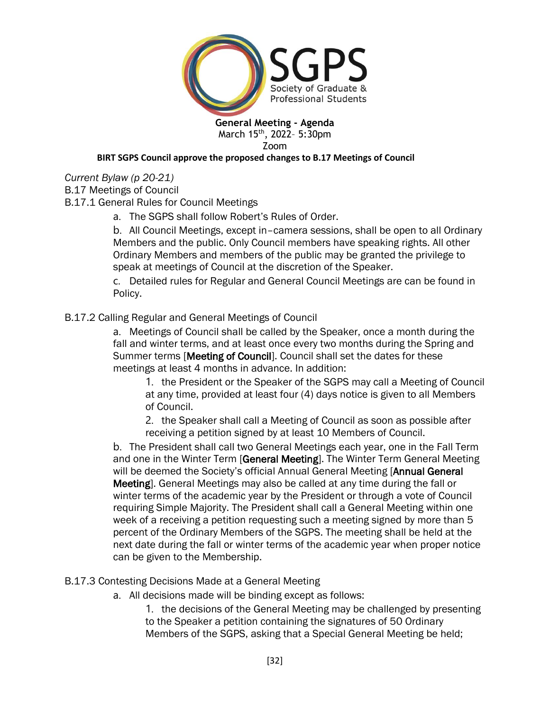

Zoom

### **BIRT SGPS Council approve the proposed changes to B.17 Meetings of Council**

*Current Bylaw (p 20-21)*

B.17 Meetings of Council

B.17.1 General Rules for Council Meetings

a. The SGPS shall follow Robert's Rules of Order.

b. All Council Meetings, except in–camera sessions, shall be open to all Ordinary Members and the public. Only Council members have speaking rights. All other Ordinary Members and members of the public may be granted the privilege to speak at meetings of Council at the discretion of the Speaker.

c. Detailed rules for Regular and General Council Meetings are can be found in Policy.

# B.17.2 Calling Regular and General Meetings of Council

a. Meetings of Council shall be called by the Speaker, once a month during the fall and winter terms, and at least once every two months during the Spring and Summer terms [Meeting of Council]. Council shall set the dates for these meetings at least 4 months in advance. In addition:

1. the President or the Speaker of the SGPS may call a Meeting of Council at any time, provided at least four (4) days notice is given to all Members of Council.

2. the Speaker shall call a Meeting of Council as soon as possible after receiving a petition signed by at least 10 Members of Council.

b. The President shall call two General Meetings each year, one in the Fall Term and one in the Winter Term [General Meeting]. The Winter Term General Meeting will be deemed the Society's official Annual General Meeting [Annual General Meeting]. General Meetings may also be called at any time during the fall or winter terms of the academic year by the President or through a vote of Council requiring Simple Majority. The President shall call a General Meeting within one week of a receiving a petition requesting such a meeting signed by more than 5 percent of the Ordinary Members of the SGPS. The meeting shall be held at the next date during the fall or winter terms of the academic year when proper notice can be given to the Membership.

B.17.3 Contesting Decisions Made at a General Meeting

a. All decisions made will be binding except as follows:

1. the decisions of the General Meeting may be challenged by presenting to the Speaker a petition containing the signatures of 50 Ordinary Members of the SGPS, asking that a Special General Meeting be held;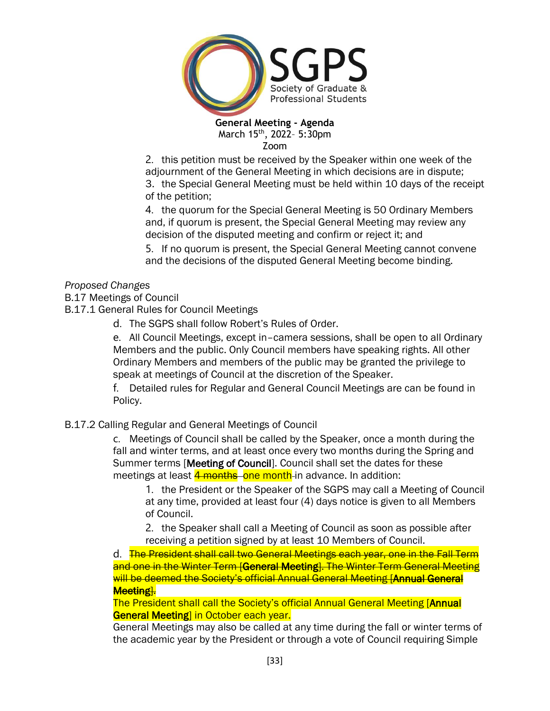

2. this petition must be received by the Speaker within one week of the adjournment of the General Meeting in which decisions are in dispute;

3. the Special General Meeting must be held within 10 days of the receipt of the petition;

4. the quorum for the Special General Meeting is 50 Ordinary Members and, if quorum is present, the Special General Meeting may review any decision of the disputed meeting and confirm or reject it; and

5. If no quorum is present, the Special General Meeting cannot convene and the decisions of the disputed General Meeting become binding.

# *Proposed Changes*

B.17 Meetings of Council

B.17.1 General Rules for Council Meetings

d. The SGPS shall follow Robert's Rules of Order.

e. All Council Meetings, except in–camera sessions, shall be open to all Ordinary Members and the public. Only Council members have speaking rights. All other Ordinary Members and members of the public may be granted the privilege to speak at meetings of Council at the discretion of the Speaker.

f. Detailed rules for Regular and General Council Meetings are can be found in Policy.

## B.17.2 Calling Regular and General Meetings of Council

c. Meetings of Council shall be called by the Speaker, once a month during the fall and winter terms, and at least once every two months during the Spring and Summer terms [Meeting of Council]. Council shall set the dates for these meetings at least 4 months one month in advance. In addition:

1. the President or the Speaker of the SGPS may call a Meeting of Council at any time, provided at least four (4) days notice is given to all Members of Council.

2. the Speaker shall call a Meeting of Council as soon as possible after receiving a petition signed by at least 10 Members of Council.

d. The President shall call two General Meetings each year, one in the Fall Term and one in the Winter Term [General Meeting]. The Winter Term General Meeting will be deemed the Society's official Annual General Meeting [Annual General Meeting].

The President shall call the Society's official Annual General Meeting [Annual General Meeting] in October each year.

General Meetings may also be called at any time during the fall or winter terms of the academic year by the President or through a vote of Council requiring Simple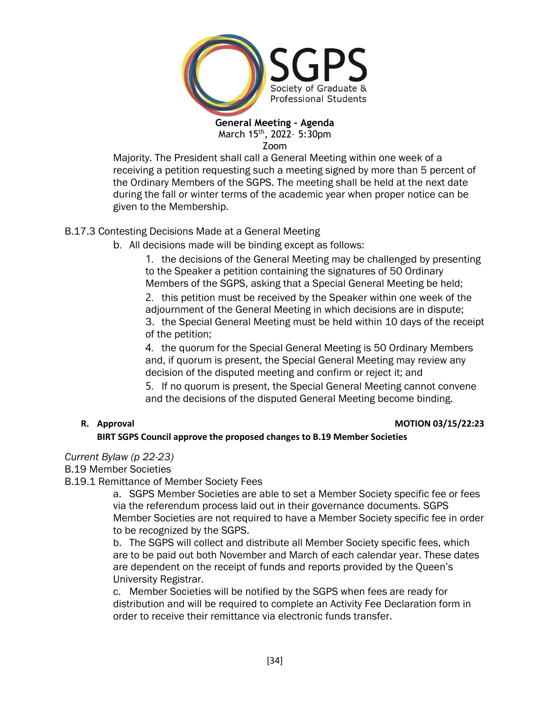

Majority. The President shall call a General Meeting within one week of a receiving a petition requesting such a meeting signed by more than 5 percent of the Ordinary Members of the SGPS. The meeting shall be held at the next date during the fall or winter terms of the academic year when proper notice can be given to the Membership.

# B.17.3 Contesting Decisions Made at a General Meeting

b. All decisions made will be binding except as follows:

1. the decisions of the General Meeting may be challenged by presenting to the Speaker a petition containing the signatures of 50 Ordinary Members of the SGPS, asking that a Special General Meeting be held;

2. this petition must be received by the Speaker within one week of the adjournment of the General Meeting in which decisions are in dispute; 3. the Special General Meeting must be held within 10 days of the receipt of the petition;

4. the quorum for the Special General Meeting is 50 Ordinary Members and, if quorum is present, the Special General Meeting may review any decision of the disputed meeting and confirm or reject it; and

5. If no quorum is present, the Special General Meeting cannot convene and the decisions of the disputed General Meeting become binding.

### **R. Approval MOTION 03/15/22:23**

## **BIRT SGPS Council approve the proposed changes to B.19 Member Societies**

*Current Bylaw (p 22-23)*

B.19 Member Societies

B.19.1 Remittance of Member Society Fees

a. SGPS Member Societies are able to set a Member Society specific fee or fees via the referendum process laid out in their governance documents. SGPS Member Societies are not required to have a Member Society specific fee in order to be recognized by the SGPS.

b. The SGPS will collect and distribute all Member Society specific fees, which are to be paid out both November and March of each calendar year. These dates are dependent on the receipt of funds and reports provided by the Queen's University Registrar.

c. Member Societies will be notified by the SGPS when fees are ready for distribution and will be required to complete an Activity Fee Declaration form in order to receive their remittance via electronic funds transfer.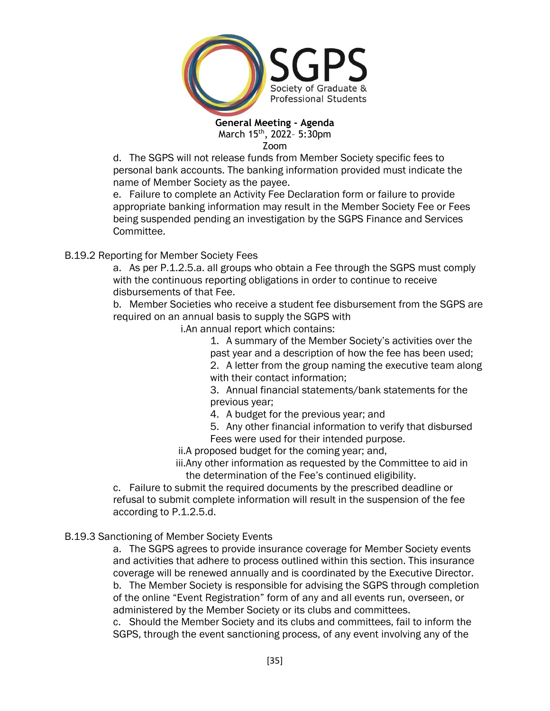

d. The SGPS will not release funds from Member Society specific fees to personal bank accounts. The banking information provided must indicate the name of Member Society as the payee.

e. Failure to complete an Activity Fee Declaration form or failure to provide appropriate banking information may result in the Member Society Fee or Fees being suspended pending an investigation by the SGPS Finance and Services Committee.

# B.19.2 Reporting for Member Society Fees

a. As per P.1.2.5.a. all groups who obtain a Fee through the SGPS must comply with the continuous reporting obligations in order to continue to receive disbursements of that Fee.

b. Member Societies who receive a student fee disbursement from the SGPS are required on an annual basis to supply the SGPS with

i.An annual report which contains:

1. A summary of the Member Society's activities over the past year and a description of how the fee has been used; 2. A letter from the group naming the executive team along

with their contact information:

3. Annual financial statements/bank statements for the previous year;

- 4. A budget for the previous year; and
- 5. Any other financial information to verify that disbursed Fees were used for their intended purpose.

ii.A proposed budget for the coming year; and,

iii.Any other information as requested by the Committee to aid in the determination of the Fee's continued eligibility.

c. Failure to submit the required documents by the prescribed deadline or refusal to submit complete information will result in the suspension of the fee according to P.1.2.5.d.

## B.19.3 Sanctioning of Member Society Events

a. The SGPS agrees to provide insurance coverage for Member Society events and activities that adhere to process outlined within this section. This insurance coverage will be renewed annually and is coordinated by the Executive Director. b. The Member Society is responsible for advising the SGPS through completion of the online "Event Registration" form of any and all events run, overseen, or administered by the Member Society or its clubs and committees.

c. Should the Member Society and its clubs and committees, fail to inform the SGPS, through the event sanctioning process, of any event involving any of the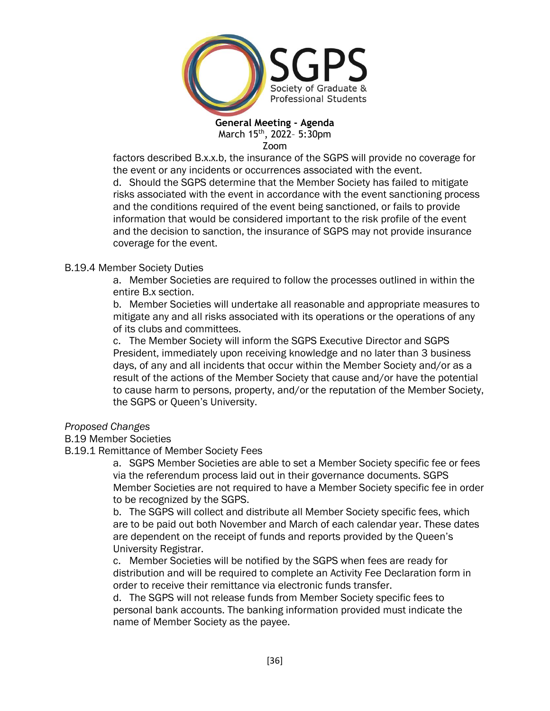

factors described B.x.x.b, the insurance of the SGPS will provide no coverage for the event or any incidents or occurrences associated with the event. d. Should the SGPS determine that the Member Society has failed to mitigate risks associated with the event in accordance with the event sanctioning process

and the conditions required of the event being sanctioned, or fails to provide information that would be considered important to the risk profile of the event and the decision to sanction, the insurance of SGPS may not provide insurance coverage for the event.

## B.19.4 Member Society Duties

a. Member Societies are required to follow the processes outlined in within the entire B.x section.

b. Member Societies will undertake all reasonable and appropriate measures to mitigate any and all risks associated with its operations or the operations of any of its clubs and committees.

c. The Member Society will inform the SGPS Executive Director and SGPS President, immediately upon receiving knowledge and no later than 3 business days, of any and all incidents that occur within the Member Society and/or as a result of the actions of the Member Society that cause and/or have the potential to cause harm to persons, property, and/or the reputation of the Member Society, the SGPS or Queen's University.

## *Proposed Changes*

## B.19 Member Societies

## B.19.1 Remittance of Member Society Fees

a. SGPS Member Societies are able to set a Member Society specific fee or fees via the referendum process laid out in their governance documents. SGPS Member Societies are not required to have a Member Society specific fee in order to be recognized by the SGPS.

b. The SGPS will collect and distribute all Member Society specific fees, which are to be paid out both November and March of each calendar year. These dates are dependent on the receipt of funds and reports provided by the Queen's University Registrar.

c. Member Societies will be notified by the SGPS when fees are ready for distribution and will be required to complete an Activity Fee Declaration form in order to receive their remittance via electronic funds transfer.

d. The SGPS will not release funds from Member Society specific fees to personal bank accounts. The banking information provided must indicate the name of Member Society as the payee.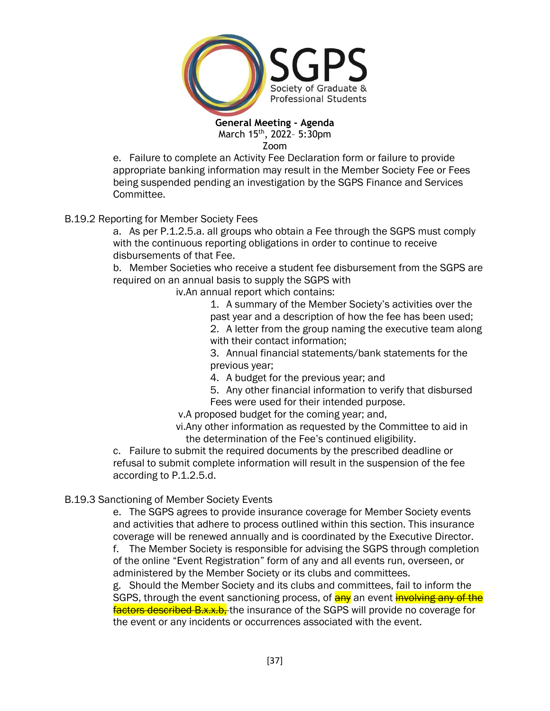

e. Failure to complete an Activity Fee Declaration form or failure to provide appropriate banking information may result in the Member Society Fee or Fees being suspended pending an investigation by the SGPS Finance and Services Committee.

# B.19.2 Reporting for Member Society Fees

a. As per P.1.2.5.a. all groups who obtain a Fee through the SGPS must comply with the continuous reporting obligations in order to continue to receive disbursements of that Fee.

b. Member Societies who receive a student fee disbursement from the SGPS are required on an annual basis to supply the SGPS with

iv.An annual report which contains:

1. A summary of the Member Society's activities over the past year and a description of how the fee has been used; 2. A letter from the group naming the executive team along with their contact information;

3. Annual financial statements/bank statements for the previous year;

- 4. A budget for the previous year; and
- 5. Any other financial information to verify that disbursed Fees were used for their intended purpose.

v.A proposed budget for the coming year; and,

vi.Any other information as requested by the Committee to aid in the determination of the Fee's continued eligibility.

c. Failure to submit the required documents by the prescribed deadline or refusal to submit complete information will result in the suspension of the fee according to P.1.2.5.d.

# B.19.3 Sanctioning of Member Society Events

e. The SGPS agrees to provide insurance coverage for Member Society events and activities that adhere to process outlined within this section. This insurance coverage will be renewed annually and is coordinated by the Executive Director.

f. The Member Society is responsible for advising the SGPS through completion of the online "Event Registration" form of any and all events run, overseen, or administered by the Member Society or its clubs and committees.

g. Should the Member Society and its clubs and committees, fail to inform the SGPS, through the event sanctioning process, of  $\frac{1}{2}$  an event involving any of the factors described B.x.x.b. the insurance of the SGPS will provide no coverage for the event or any incidents or occurrences associated with the event.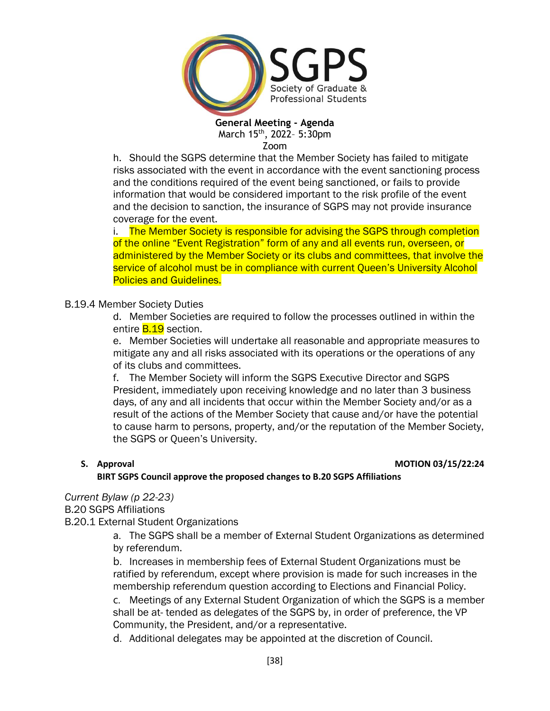

h. Should the SGPS determine that the Member Society has failed to mitigate risks associated with the event in accordance with the event sanctioning process and the conditions required of the event being sanctioned, or fails to provide information that would be considered important to the risk profile of the event and the decision to sanction, the insurance of SGPS may not provide insurance coverage for the event.

i. The Member Society is responsible for advising the SGPS through completion of the online "Event Registration" form of any and all events run, overseen, or administered by the Member Society or its clubs and committees, that involve the service of alcohol must be in compliance with current Queen's University Alcohol Policies and Guidelines.

### B.19.4 Member Society Duties

d. Member Societies are required to follow the processes outlined in within the entire **B.19** section.

e. Member Societies will undertake all reasonable and appropriate measures to mitigate any and all risks associated with its operations or the operations of any of its clubs and committees.

f. The Member Society will inform the SGPS Executive Director and SGPS President, immediately upon receiving knowledge and no later than 3 business days, of any and all incidents that occur within the Member Society and/or as a result of the actions of the Member Society that cause and/or have the potential to cause harm to persons, property, and/or the reputation of the Member Society, the SGPS or Queen's University.

### **S. Approval MOTION 03/15/22:24**

**BIRT SGPS Council approve the proposed changes to B.20 SGPS Affiliations**

### *Current Bylaw (p 22-23)*

B.20 SGPS Affiliations

B.20.1 External Student Organizations

a. The SGPS shall be a member of External Student Organizations as determined by referendum.

b. Increases in membership fees of External Student Organizations must be ratified by referendum, except where provision is made for such increases in the membership referendum question according to Elections and Financial Policy.

c. Meetings of any External Student Organization of which the SGPS is a member shall be at- tended as delegates of the SGPS by, in order of preference, the VP Community, the President, and/or a representative.

d. Additional delegates may be appointed at the discretion of Council.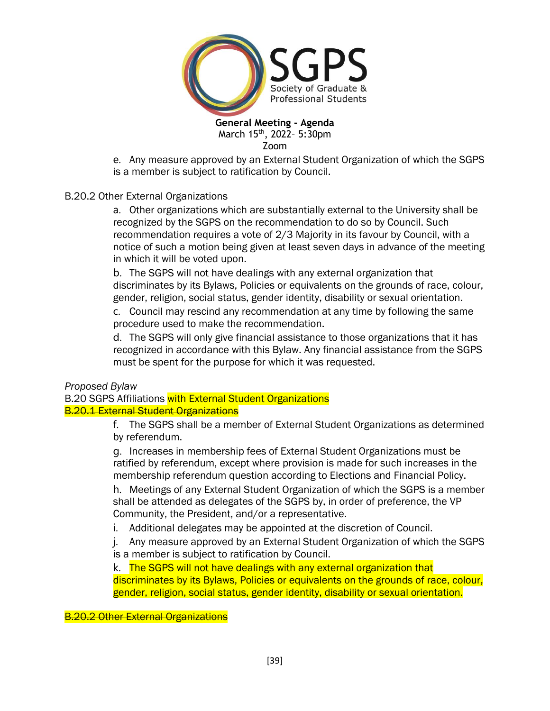

e. Any measure approved by an External Student Organization of which the SGPS is a member is subject to ratification by Council.

### B.20.2 Other External Organizations

a. Other organizations which are substantially external to the University shall be recognized by the SGPS on the recommendation to do so by Council. Such recommendation requires a vote of 2/3 Majority in its favour by Council, with a notice of such a motion being given at least seven days in advance of the meeting in which it will be voted upon.

b. The SGPS will not have dealings with any external organization that discriminates by its Bylaws, Policies or equivalents on the grounds of race, colour, gender, religion, social status, gender identity, disability or sexual orientation.

c. Council may rescind any recommendation at any time by following the same procedure used to make the recommendation.

d. The SGPS will only give financial assistance to those organizations that it has recognized in accordance with this Bylaw. Any financial assistance from the SGPS must be spent for the purpose for which it was requested.

*Proposed Bylaw*

B.20 SGPS Affiliations with External Student Organizations **B.20.1 External Student Organizations** 

> f. The SGPS shall be a member of External Student Organizations as determined by referendum.

g. Increases in membership fees of External Student Organizations must be ratified by referendum, except where provision is made for such increases in the membership referendum question according to Elections and Financial Policy.

h. Meetings of any External Student Organization of which the SGPS is a member shall be attended as delegates of the SGPS by, in order of preference, the VP Community, the President, and/or a representative.

i. Additional delegates may be appointed at the discretion of Council.

j. Any measure approved by an External Student Organization of which the SGPS is a member is subject to ratification by Council.

k. The SGPS will not have dealings with any external organization that discriminates by its Bylaws, Policies or equivalents on the grounds of race, colour, gender, religion, social status, gender identity, disability or sexual orientation.

**B.20.2 Other External Organizations**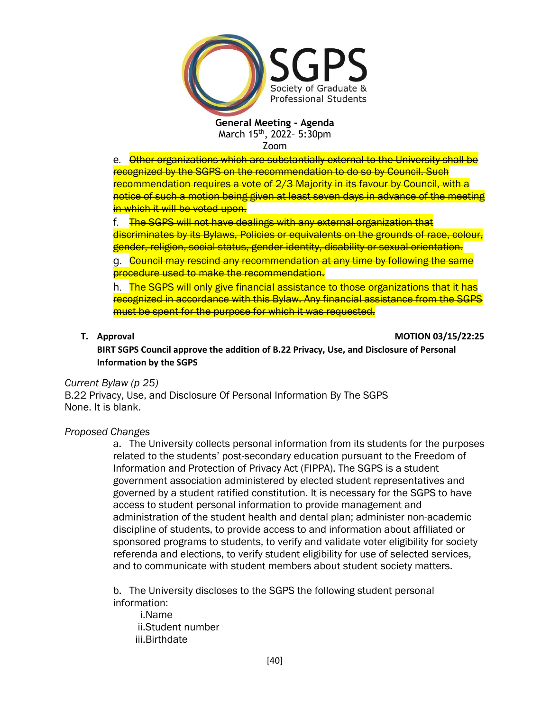

e. Other organizations which are substantially external to the University shall be recognized by the SGPS on the recommendation to do so by Council. Such recommendation requires a vote of 2/3 Majority in its favour by Council, with a notice of such a motion being given at least seven days in advance of the meeting in which it will be voted upon.

f. The SGPS will not have dealings with any external organization that discriminates by its Bylaws, Policies or equivalents on the grounds of race, colour, gender, religion, social status, gender identity, disability or sexual orientation.

g. Council may rescind any recommendation at any time by following the same procedure used to make the recommendation.

h. The SGPS will only give financial assistance to those organizations that it has recognized in accordance with this Bylaw. Any financial assistance from the SGPS must be spent for the purpose for which it was requested.

**T. Approval MOTION 03/15/22:25**

**BIRT SGPS Council approve the addition of B.22 Privacy, Use, and Disclosure of Personal Information by the SGPS**

### *Current Bylaw (p 25)*

B.22 Privacy, Use, and Disclosure Of Personal Information By The SGPS None. It is blank.

### *Proposed Changes*

a. The University collects personal information from its students for the purposes related to the students' post-secondary education pursuant to the Freedom of Information and Protection of Privacy Act (FIPPA). The SGPS is a student government association administered by elected student representatives and governed by a student ratified constitution. It is necessary for the SGPS to have access to student personal information to provide management and administration of the student health and dental plan; administer non-academic discipline of students, to provide access to and information about affiliated or sponsored programs to students, to verify and validate voter eligibility for society referenda and elections, to verify student eligibility for use of selected services, and to communicate with student members about student society matters.

b. The University discloses to the SGPS the following student personal information:

i.Name ii.Student number iii.Birthdate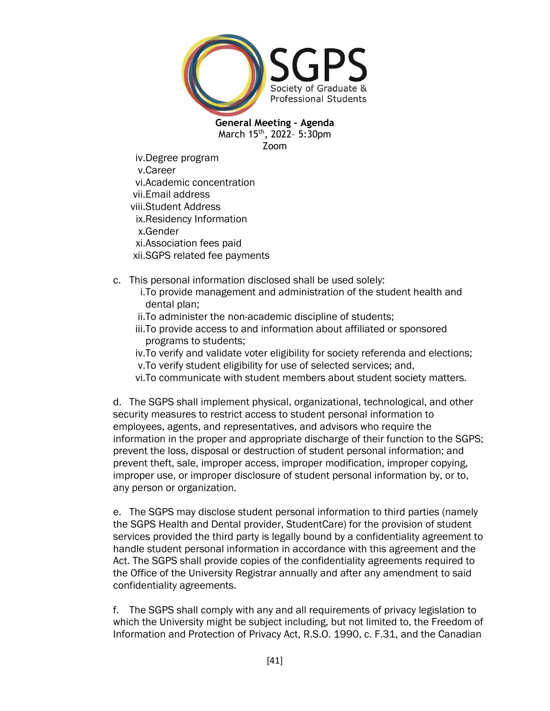

iv.Degree program v.Career vi.Academic concentration vii.Email address viii.Student Address ix.Residency Information x.Gender xi.Association fees paid xii.SGPS related fee payments

- c. This personal information disclosed shall be used solely:
	- i.To provide management and administration of the student health and dental plan;
	- ii.To administer the non-academic discipline of students;
	- iii.To provide access to and information about affiliated or sponsored programs to students;
	- iv.To verify and validate voter eligibility for society referenda and elections; v.To verify student eligibility for use of selected services; and,
	- vi.To communicate with student members about student society matters.

d. The SGPS shall implement physical, organizational, technological, and other security measures to restrict access to student personal information to employees, agents, and representatives, and advisors who require the information in the proper and appropriate discharge of their function to the SGPS; prevent the loss, disposal or destruction of student personal information; and prevent theft, sale, improper access, improper modification, improper copying, improper use, or improper disclosure of student personal information by, or to, any person or organization.

e. The SGPS may disclose student personal information to third parties (namely the SGPS Health and Dental provider, StudentCare) for the provision of student services provided the third party is legally bound by a confidentiality agreement to handle student personal information in accordance with this agreement and the Act. The SGPS shall provide copies of the confidentiality agreements required to the Office of the University Registrar annually and after any amendment to said confidentiality agreements.

f. The SGPS shall comply with any and all requirements of privacy legislation to which the University might be subject including, but not limited to, the Freedom of Information and Protection of Privacy Act, R.S.O. 1990, c. F.31, and the Canadian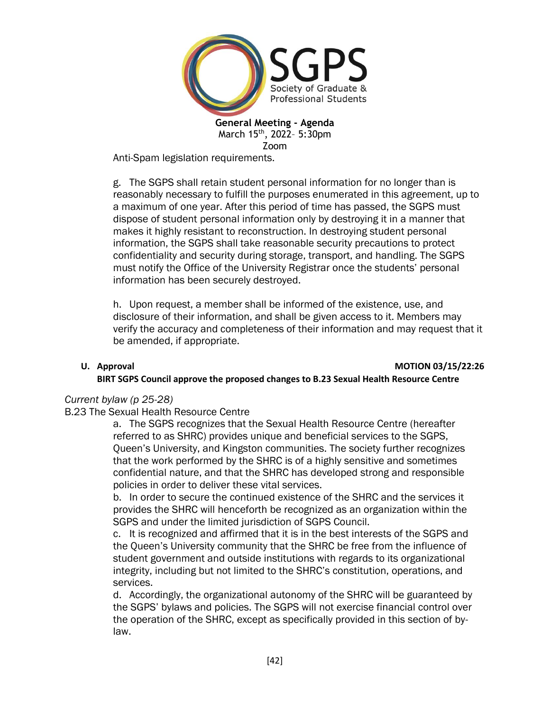

Anti-Spam legislation requirements.

g. The SGPS shall retain student personal information for no longer than is reasonably necessary to fulfill the purposes enumerated in this agreement, up to a maximum of one year. After this period of time has passed, the SGPS must dispose of student personal information only by destroying it in a manner that makes it highly resistant to reconstruction. In destroying student personal information, the SGPS shall take reasonable security precautions to protect confidentiality and security during storage, transport, and handling. The SGPS must notify the Office of the University Registrar once the students' personal information has been securely destroyed.

h. Upon request, a member shall be informed of the existence, use, and disclosure of their information, and shall be given access to it. Members may verify the accuracy and completeness of their information and may request that it be amended, if appropriate.

# **U. Approval MOTION 03/15/22:26 BIRT SGPS Council approve the proposed changes to B.23 Sexual Health Resource Centre**

## *Current bylaw (p 25-28)*

B.23 The Sexual Health Resource Centre

a. The SGPS recognizes that the Sexual Health Resource Centre (hereafter referred to as SHRC) provides unique and beneficial services to the SGPS, Queen's University, and Kingston communities. The society further recognizes that the work performed by the SHRC is of a highly sensitive and sometimes confidential nature, and that the SHRC has developed strong and responsible policies in order to deliver these vital services.

b. In order to secure the continued existence of the SHRC and the services it provides the SHRC will henceforth be recognized as an organization within the SGPS and under the limited jurisdiction of SGPS Council.

c. It is recognized and affirmed that it is in the best interests of the SGPS and the Queen's University community that the SHRC be free from the influence of student government and outside institutions with regards to its organizational integrity, including but not limited to the SHRC's constitution, operations, and services.

d. Accordingly, the organizational autonomy of the SHRC will be guaranteed by the SGPS' bylaws and policies. The SGPS will not exercise financial control over the operation of the SHRC, except as specifically provided in this section of bylaw.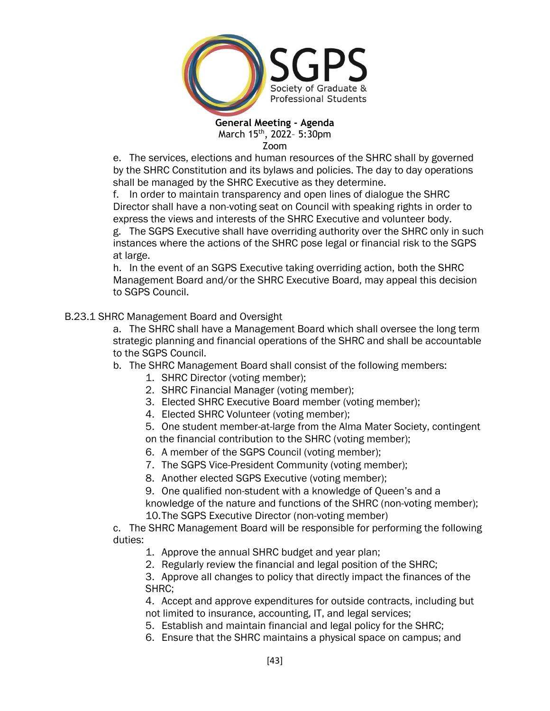

Zoom

e. The services, elections and human resources of the SHRC shall by governed by the SHRC Constitution and its bylaws and policies. The day to day operations shall be managed by the SHRC Executive as they determine.

f. In order to maintain transparency and open lines of dialogue the SHRC Director shall have a non-voting seat on Council with speaking rights in order to express the views and interests of the SHRC Executive and volunteer body.

g. The SGPS Executive shall have overriding authority over the SHRC only in such instances where the actions of the SHRC pose legal or financial risk to the SGPS at large.

h. In the event of an SGPS Executive taking overriding action, both the SHRC Management Board and/or the SHRC Executive Board, may appeal this decision to SGPS Council.

# B.23.1 SHRC Management Board and Oversight

a. The SHRC shall have a Management Board which shall oversee the long term strategic planning and financial operations of the SHRC and shall be accountable to the SGPS Council.

## b. The SHRC Management Board shall consist of the following members:

- 1. SHRC Director (voting member);
- 2. SHRC Financial Manager (voting member);
- 3. Elected SHRC Executive Board member (voting member);
- 4. Elected SHRC Volunteer (voting member);
- 5. One student member-at-large from the Alma Mater Society, contingent on the financial contribution to the SHRC (voting member);
- 6. A member of the SGPS Council (voting member);
- 7. The SGPS Vice-President Community (voting member);
- 8. Another elected SGPS Executive (voting member);
- 9. One qualified non-student with a knowledge of Queen's and a

knowledge of the nature and functions of the SHRC (non-voting member); 10.The SGPS Executive Director (non-voting member)

c. The SHRC Management Board will be responsible for performing the following duties:

- 1. Approve the annual SHRC budget and year plan;
- 2. Regularly review the financial and legal position of the SHRC;

3. Approve all changes to policy that directly impact the finances of the SHRC;

4. Accept and approve expenditures for outside contracts, including but not limited to insurance, accounting, IT, and legal services;

- 5. Establish and maintain financial and legal policy for the SHRC;
- 6. Ensure that the SHRC maintains a physical space on campus; and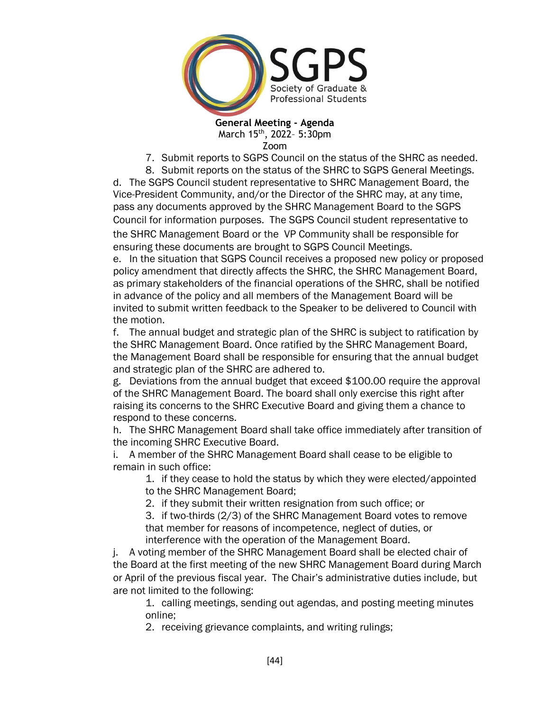

7. Submit reports to SGPS Council on the status of the SHRC as needed.

8. Submit reports on the status of the SHRC to SGPS General Meetings. d. The SGPS Council student representative to SHRC Management Board, the Vice-President Community, and/or the Director of the SHRC may, at any time, pass any documents approved by the SHRC Management Board to the SGPS Council for information purposes. The SGPS Council student representative to the SHRC Management Board or the VP Community shall be responsible for ensuring these documents are brought to SGPS Council Meetings.

e. In the situation that SGPS Council receives a proposed new policy or proposed policy amendment that directly affects the SHRC, the SHRC Management Board, as primary stakeholders of the financial operations of the SHRC, shall be notified in advance of the policy and all members of the Management Board will be invited to submit written feedback to the Speaker to be delivered to Council with the motion.

f. The annual budget and strategic plan of the SHRC is subject to ratification by the SHRC Management Board. Once ratified by the SHRC Management Board, the Management Board shall be responsible for ensuring that the annual budget and strategic plan of the SHRC are adhered to.

g. Deviations from the annual budget that exceed \$100.00 require the approval of the SHRC Management Board. The board shall only exercise this right after raising its concerns to the SHRC Executive Board and giving them a chance to respond to these concerns.

h. The SHRC Management Board shall take office immediately after transition of the incoming SHRC Executive Board.

i. A member of the SHRC Management Board shall cease to be eligible to remain in such office:

1. if they cease to hold the status by which they were elected/appointed to the SHRC Management Board;

2. if they submit their written resignation from such office; or

3. if two-thirds (2/3) of the SHRC Management Board votes to remove that member for reasons of incompetence, neglect of duties, or interference with the operation of the Management Board.

j. A voting member of the SHRC Management Board shall be elected chair of the Board at the first meeting of the new SHRC Management Board during March or April of the previous fiscal year. The Chair's administrative duties include, but are not limited to the following:

1. calling meetings, sending out agendas, and posting meeting minutes online;

2. receiving grievance complaints, and writing rulings;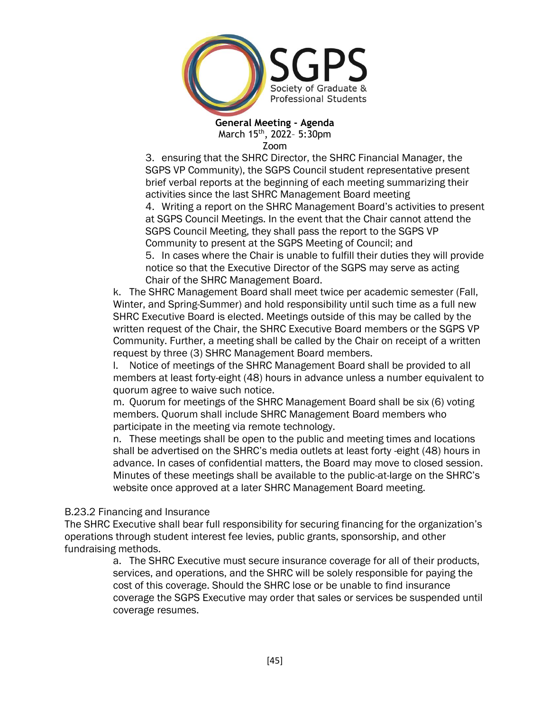

3. ensuring that the SHRC Director, the SHRC Financial Manager, the SGPS VP Community), the SGPS Council student representative present brief verbal reports at the beginning of each meeting summarizing their activities since the last SHRC Management Board meeting

4. Writing a report on the SHRC Management Board's activities to present at SGPS Council Meetings. In the event that the Chair cannot attend the SGPS Council Meeting, they shall pass the report to the SGPS VP Community to present at the SGPS Meeting of Council; and

5. In cases where the Chair is unable to fulfill their duties they will provide notice so that the Executive Director of the SGPS may serve as acting Chair of the SHRC Management Board.

k. The SHRC Management Board shall meet twice per academic semester (Fall, Winter, and Spring-Summer) and hold responsibility until such time as a full new SHRC Executive Board is elected. Meetings outside of this may be called by the written request of the Chair, the SHRC Executive Board members or the SGPS VP Community. Further, a meeting shall be called by the Chair on receipt of a written request by three (3) SHRC Management Board members.

l. Notice of meetings of the SHRC Management Board shall be provided to all members at least forty-eight (48) hours in advance unless a number equivalent to quorum agree to waive such notice.

m. Quorum for meetings of the SHRC Management Board shall be six (6) voting members. Quorum shall include SHRC Management Board members who participate in the meeting via remote technology.

n. These meetings shall be open to the public and meeting times and locations shall be advertised on the SHRC's media outlets at least forty -eight (48) hours in advance. In cases of confidential matters, the Board may move to closed session. Minutes of these meetings shall be available to the public-at-large on the SHRC's website once approved at a later SHRC Management Board meeting.

## B.23.2 Financing and Insurance

The SHRC Executive shall bear full responsibility for securing financing for the organization's operations through student interest fee levies, public grants, sponsorship, and other fundraising methods.

a. The SHRC Executive must secure insurance coverage for all of their products, services, and operations, and the SHRC will be solely responsible for paying the cost of this coverage. Should the SHRC lose or be unable to find insurance coverage the SGPS Executive may order that sales or services be suspended until coverage resumes.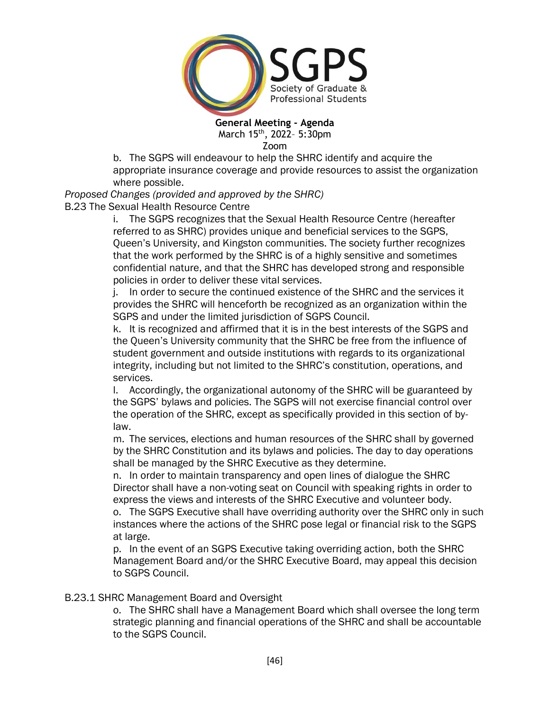

b. The SGPS will endeavour to help the SHRC identify and acquire the appropriate insurance coverage and provide resources to assist the organization where possible.

*Proposed Changes (provided and approved by the SHRC)* B.23 The Sexual Health Resource Centre

i. The SGPS recognizes that the Sexual Health Resource Centre (hereafter referred to as SHRC) provides unique and beneficial services to the SGPS, Queen's University, and Kingston communities. The society further recognizes that the work performed by the SHRC is of a highly sensitive and sometimes confidential nature, and that the SHRC has developed strong and responsible policies in order to deliver these vital services.

j. In order to secure the continued existence of the SHRC and the services it provides the SHRC will henceforth be recognized as an organization within the SGPS and under the limited jurisdiction of SGPS Council.

k. It is recognized and affirmed that it is in the best interests of the SGPS and the Queen's University community that the SHRC be free from the influence of student government and outside institutions with regards to its organizational integrity, including but not limited to the SHRC's constitution, operations, and services.

l. Accordingly, the organizational autonomy of the SHRC will be guaranteed by the SGPS' bylaws and policies. The SGPS will not exercise financial control over the operation of the SHRC, except as specifically provided in this section of bylaw.

m. The services, elections and human resources of the SHRC shall by governed by the SHRC Constitution and its bylaws and policies. The day to day operations shall be managed by the SHRC Executive as they determine.

n. In order to maintain transparency and open lines of dialogue the SHRC Director shall have a non-voting seat on Council with speaking rights in order to express the views and interests of the SHRC Executive and volunteer body.

o. The SGPS Executive shall have overriding authority over the SHRC only in such instances where the actions of the SHRC pose legal or financial risk to the SGPS at large.

p. In the event of an SGPS Executive taking overriding action, both the SHRC Management Board and/or the SHRC Executive Board, may appeal this decision to SGPS Council.

## B.23.1 SHRC Management Board and Oversight

o. The SHRC shall have a Management Board which shall oversee the long term strategic planning and financial operations of the SHRC and shall be accountable to the SGPS Council.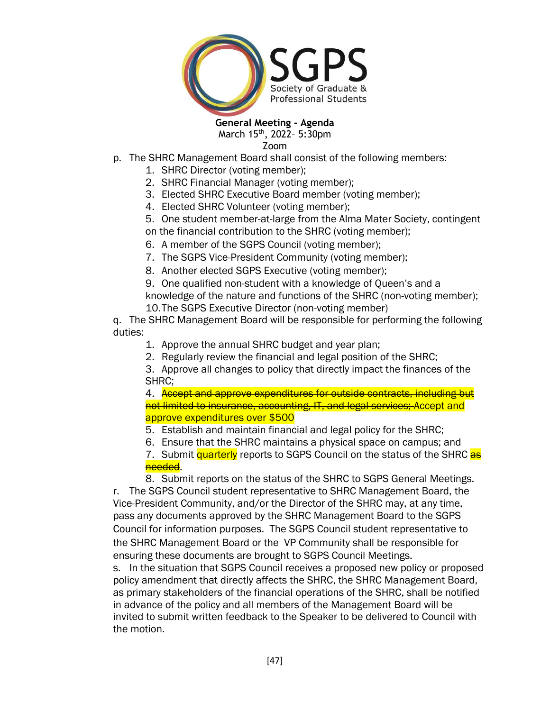

**General Meeting - Agenda**

March 15<sup>th</sup>, 2022- 5:30pm Zoom

- p. The SHRC Management Board shall consist of the following members:
	- 1. SHRC Director (voting member);
	- 2. SHRC Financial Manager (voting member);
	- 3. Elected SHRC Executive Board member (voting member);
	- 4. Elected SHRC Volunteer (voting member);
	- 5. One student member-at-large from the Alma Mater Society, contingent on the financial contribution to the SHRC (voting member);
	- 6. A member of the SGPS Council (voting member);
	- 7. The SGPS Vice-President Community (voting member);
	- 8. Another elected SGPS Executive (voting member);
	- 9. One qualified non-student with a knowledge of Queen's and a

knowledge of the nature and functions of the SHRC (non-voting member); 10.The SGPS Executive Director (non-voting member)

q. The SHRC Management Board will be responsible for performing the following duties:

- 1. Approve the annual SHRC budget and year plan;
- 2. Regularly review the financial and legal position of the SHRC;

3. Approve all changes to policy that directly impact the finances of the SHRC;

4. Accept and approve expenditures for outside contracts, including but not limited to insurance, accounting, IT, and legal services; Accept and approve expenditures over \$500

5. Establish and maintain financial and legal policy for the SHRC;

6. Ensure that the SHRC maintains a physical space on campus; and

7. Submit quarterly reports to SGPS Council on the status of the SHRC as needed.

8. Submit reports on the status of the SHRC to SGPS General Meetings. r. The SGPS Council student representative to SHRC Management Board, the Vice-President Community, and/or the Director of the SHRC may, at any time, pass any documents approved by the SHRC Management Board to the SGPS Council for information purposes. The SGPS Council student representative to the SHRC Management Board or the VP Community shall be responsible for ensuring these documents are brought to SGPS Council Meetings.

s. In the situation that SGPS Council receives a proposed new policy or proposed policy amendment that directly affects the SHRC, the SHRC Management Board, as primary stakeholders of the financial operations of the SHRC, shall be notified in advance of the policy and all members of the Management Board will be invited to submit written feedback to the Speaker to be delivered to Council with the motion.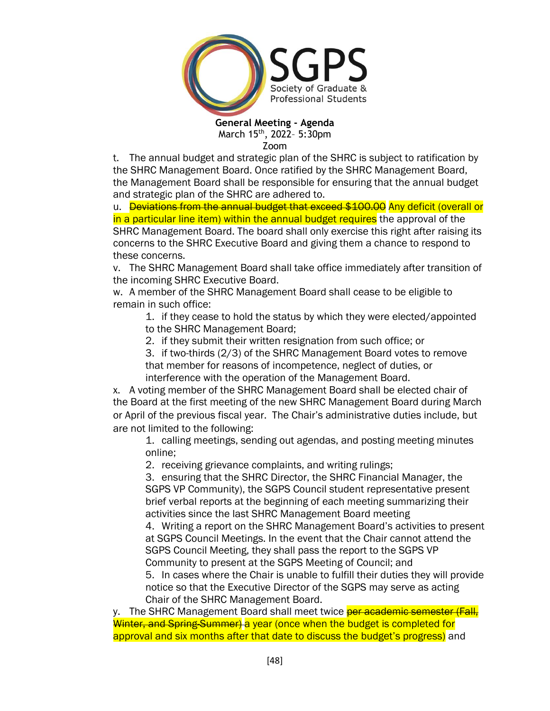

t. The annual budget and strategic plan of the SHRC is subject to ratification by the SHRC Management Board. Once ratified by the SHRC Management Board, the Management Board shall be responsible for ensuring that the annual budget and strategic plan of the SHRC are adhered to.

u. Deviations from the annual budget that exceed \$100.00 Any deficit (overall or in a particular line item) within the annual budget requires the approval of the SHRC Management Board. The board shall only exercise this right after raising its concerns to the SHRC Executive Board and giving them a chance to respond to these concerns.

v. The SHRC Management Board shall take office immediately after transition of the incoming SHRC Executive Board.

w. A member of the SHRC Management Board shall cease to be eligible to remain in such office:

1. if they cease to hold the status by which they were elected/appointed to the SHRC Management Board;

2. if they submit their written resignation from such office; or

3. if two-thirds (2/3) of the SHRC Management Board votes to remove that member for reasons of incompetence, neglect of duties, or interference with the operation of the Management Board.

x. A voting member of the SHRC Management Board shall be elected chair of the Board at the first meeting of the new SHRC Management Board during March or April of the previous fiscal year. The Chair's administrative duties include, but are not limited to the following:

1. calling meetings, sending out agendas, and posting meeting minutes online;

2. receiving grievance complaints, and writing rulings;

3. ensuring that the SHRC Director, the SHRC Financial Manager, the SGPS VP Community), the SGPS Council student representative present brief verbal reports at the beginning of each meeting summarizing their activities since the last SHRC Management Board meeting

4. Writing a report on the SHRC Management Board's activities to present at SGPS Council Meetings. In the event that the Chair cannot attend the SGPS Council Meeting, they shall pass the report to the SGPS VP Community to present at the SGPS Meeting of Council; and

5. In cases where the Chair is unable to fulfill their duties they will provide notice so that the Executive Director of the SGPS may serve as acting Chair of the SHRC Management Board.

y. The SHRC Management Board shall meet twice per academic semester (Fall, Winter, and Spring Summer) a year (once when the budget is completed for approval and six months after that date to discuss the budget's progress) and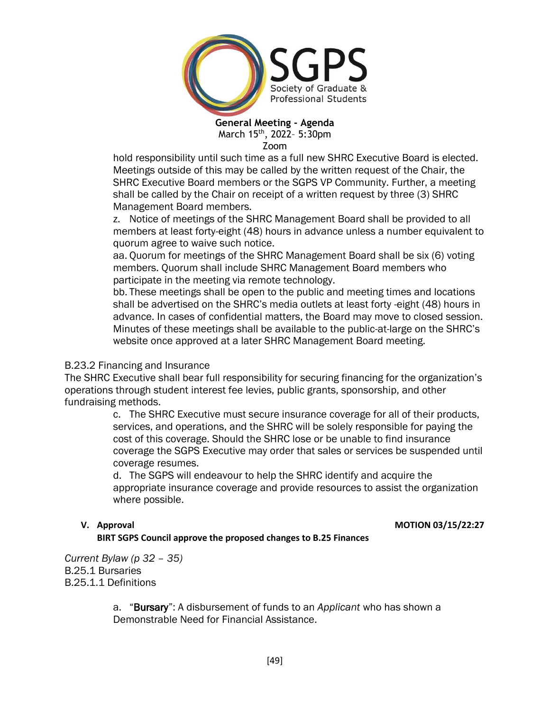

hold responsibility until such time as a full new SHRC Executive Board is elected. Meetings outside of this may be called by the written request of the Chair, the SHRC Executive Board members or the SGPS VP Community. Further, a meeting shall be called by the Chair on receipt of a written request by three (3) SHRC Management Board members.

z. Notice of meetings of the SHRC Management Board shall be provided to all members at least forty-eight (48) hours in advance unless a number equivalent to quorum agree to waive such notice.

aa. Quorum for meetings of the SHRC Management Board shall be six (6) voting members. Quorum shall include SHRC Management Board members who participate in the meeting via remote technology.

bb. These meetings shall be open to the public and meeting times and locations shall be advertised on the SHRC's media outlets at least forty -eight (48) hours in advance. In cases of confidential matters, the Board may move to closed session. Minutes of these meetings shall be available to the public-at-large on the SHRC's website once approved at a later SHRC Management Board meeting.

### B.23.2 Financing and Insurance

The SHRC Executive shall bear full responsibility for securing financing for the organization's operations through student interest fee levies, public grants, sponsorship, and other fundraising methods.

> c. The SHRC Executive must secure insurance coverage for all of their products, services, and operations, and the SHRC will be solely responsible for paying the cost of this coverage. Should the SHRC lose or be unable to find insurance coverage the SGPS Executive may order that sales or services be suspended until coverage resumes.

d. The SGPS will endeavour to help the SHRC identify and acquire the appropriate insurance coverage and provide resources to assist the organization where possible.

### **V.** Approval **MOTION 03/15/22:27**

**BIRT SGPS Council approve the proposed changes to B.25 Finances**

*Current Bylaw (p 32 – 35)* B.25.1 Bursaries B.25.1.1 Definitions

> a. "Bursary": A disbursement of funds to an *Applicant* who has shown a Demonstrable Need for Financial Assistance.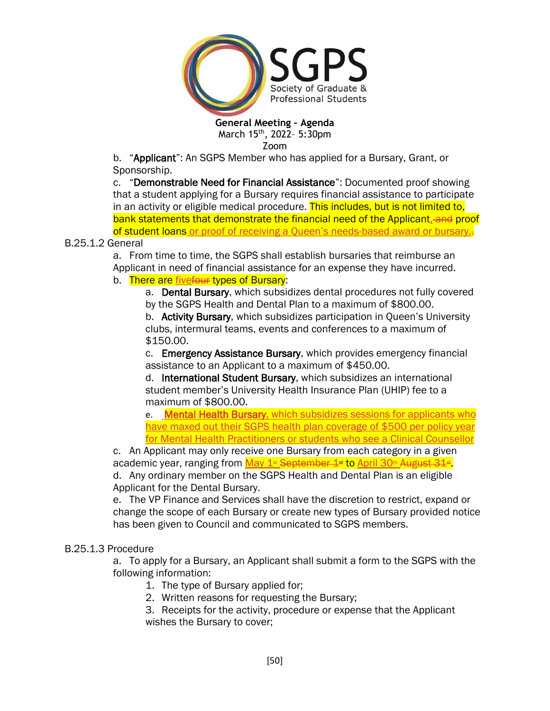

Zoom

b. "Applicant": An SGPS Member who has applied for a Bursary, Grant, or Sponsorship.

c. "Demonstrable Need for Financial Assistance": Documented proof showing that a student applying for a Bursary requires financial assistance to participate in an activity or eligible medical procedure. This includes, but is not limited to, bank statements that demonstrate the financial need of the Applicant, and proof of student loans or proof of receiving a Queen's needs-based award or bursary.-

B.25.1.2 General

a. From time to time, the SGPS shall establish bursaries that reimburse an Applicant in need of financial assistance for an expense they have incurred. b. There are fivefour types of Bursary:

a. Dental Bursary, which subsidizes dental procedures not fully covered by the SGPS Health and Dental Plan to a maximum of \$800.00.

b. Activity Bursary, which subsidizes participation in Queen's University clubs, intermural teams, events and conferences to a maximum of \$150.00.

c. Emergency Assistance Bursary, which provides emergency financial assistance to an Applicant to a maximum of \$450.00.

d. International Student Bursary, which subsidizes an international student member's University Health Insurance Plan (UHIP) fee to a maximum of \$800.00.

e. Mental Health Bursary, which subsidizes sessions for applicants who have maxed out their SGPS health plan coverage of \$500 per policy year for Mental Health Practitioners or students who see a Clinical Counsellor

c. An Applicant may only receive one Bursary from each category in a given academic year, ranging from <u>May 1st September 1st to April 30th August 31st.</u> d. Any ordinary member on the SGPS Health and Dental Plan is an eligible

Applicant for the Dental Bursary.

e. The VP Finance and Services shall have the discretion to restrict, expand or change the scope of each Bursary or create new types of Bursary provided notice has been given to Council and communicated to SGPS members.

## B.25.1.3 Procedure

a. To apply for a Bursary, an Applicant shall submit a form to the SGPS with the following information:

- 1. The type of Bursary applied for;
- 2. Written reasons for requesting the Bursary;
- 3. Receipts for the activity, procedure or expense that the Applicant wishes the Bursary to cover;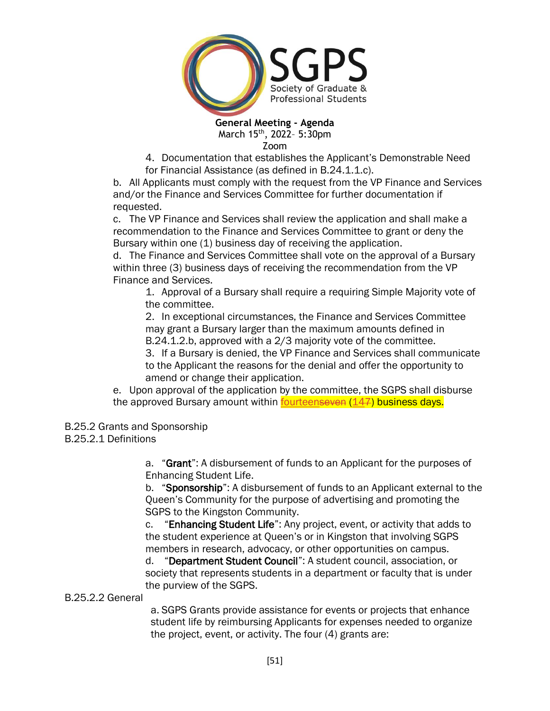

4. Documentation that establishes the Applicant's Demonstrable Need for Financial Assistance (as defined in B.24.1.1.c).

b. All Applicants must comply with the request from the VP Finance and Services and/or the Finance and Services Committee for further documentation if requested.

c. The VP Finance and Services shall review the application and shall make a recommendation to the Finance and Services Committee to grant or deny the Bursary within one (1) business day of receiving the application.

d. The Finance and Services Committee shall vote on the approval of a Bursary within three (3) business days of receiving the recommendation from the VP Finance and Services.

1. Approval of a Bursary shall require a requiring Simple Majority vote of the committee.

2. In exceptional circumstances, the Finance and Services Committee may grant a Bursary larger than the maximum amounts defined in B.24.1.2.b, approved with a 2/3 majority vote of the committee.

3. If a Bursary is denied, the VP Finance and Services shall communicate to the Applicant the reasons for the denial and offer the opportunity to amend or change their application.

e. Upon approval of the application by the committee, the SGPS shall disburse the approved Bursary amount within **fourteenseven (147) business days.** 

B.25.2 Grants and Sponsorship

B.25.2.1 Definitions

a. "Grant": A disbursement of funds to an Applicant for the purposes of Enhancing Student Life.

b. "Sponsorship": A disbursement of funds to an Applicant external to the Queen's Community for the purpose of advertising and promoting the SGPS to the Kingston Community.

c. "Enhancing Student Life": Any project, event, or activity that adds to the student experience at Queen's or in Kingston that involving SGPS members in research, advocacy, or other opportunities on campus.

d. "Department Student Council": A student council, association, or society that represents students in a department or faculty that is under the purview of the SGPS.

B.25.2.2 General

a. SGPS Grants provide assistance for events or projects that enhance student life by reimbursing Applicants for expenses needed to organize the project, event, or activity. The four (4) grants are: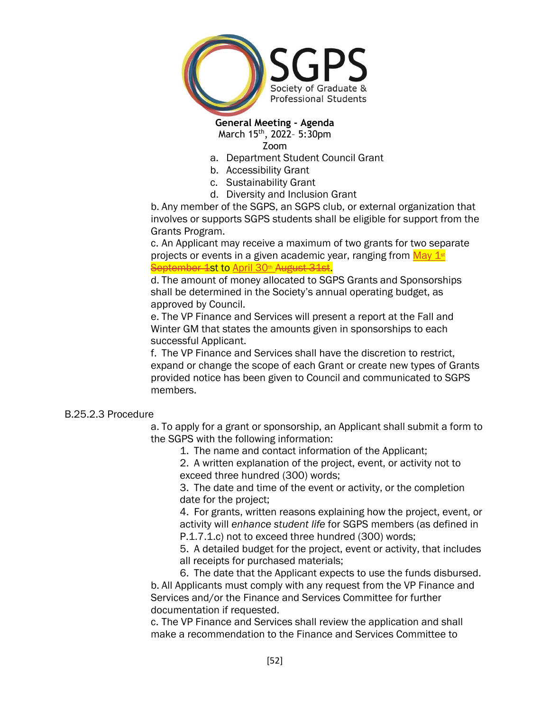

- a. Department Student Council Grant
- b. Accessibility Grant
- c. Sustainability Grant
- d. Diversity and Inclusion Grant

b. Any member of the SGPS, an SGPS club, or external organization that involves or supports SGPS students shall be eligible for support from the Grants Program.

c. An Applicant may receive a maximum of two grants for two separate projects or events in a given academic year, ranging from  $\frac{\text{May } 1 \text{st}}{2}$ September 1st to April 30<sup>th</sup> August 31st.

d. The amount of money allocated to SGPS Grants and Sponsorships shall be determined in the Society's annual operating budget, as approved by Council.

e. The VP Finance and Services will present a report at the Fall and Winter GM that states the amounts given in sponsorships to each successful Applicant.

f. The VP Finance and Services shall have the discretion to restrict, expand or change the scope of each Grant or create new types of Grants provided notice has been given to Council and communicated to SGPS members.

### B.25.2.3 Procedure

a. To apply for a grant or sponsorship, an Applicant shall submit a form to the SGPS with the following information:

1. The name and contact information of the Applicant;

2. A written explanation of the project, event, or activity not to exceed three hundred (300) words;

3. The date and time of the event or activity, or the completion date for the project;

4. For grants, written reasons explaining how the project, event, or activity will *enhance student life* for SGPS members (as defined in P.1.7.1.c) not to exceed three hundred (300) words;

5. A detailed budget for the project, event or activity, that includes all receipts for purchased materials;

6. The date that the Applicant expects to use the funds disbursed. b. All Applicants must comply with any request from the VP Finance and Services and/or the Finance and Services Committee for further documentation if requested.

c. The VP Finance and Services shall review the application and shall make a recommendation to the Finance and Services Committee to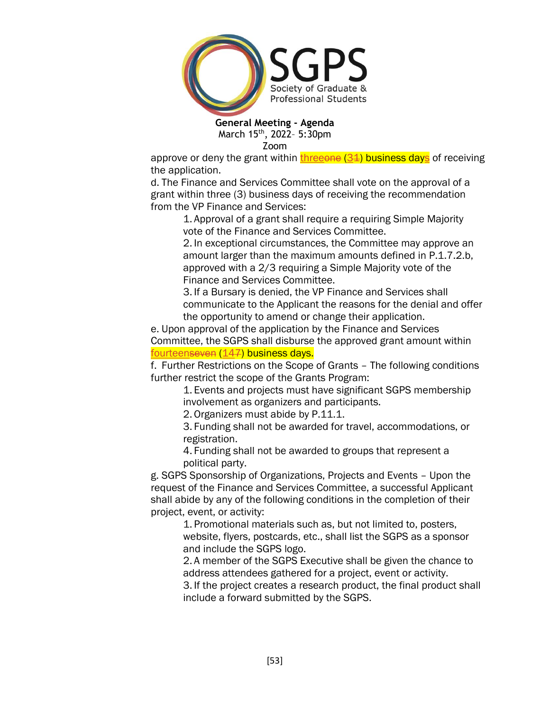

approve or deny the grant within  $t$ hreeone  $(34)$  business days</u> of receiving the application.

d. The Finance and Services Committee shall vote on the approval of a grant within three (3) business days of receiving the recommendation from the VP Finance and Services:

1. Approval of a grant shall require a requiring Simple Majority vote of the Finance and Services Committee.

2. In exceptional circumstances, the Committee may approve an amount larger than the maximum amounts defined in P.1.7.2.b, approved with a 2/3 requiring a Simple Majority vote of the Finance and Services Committee.

3. If a Bursary is denied, the VP Finance and Services shall communicate to the Applicant the reasons for the denial and offer the opportunity to amend or change their application.

e. Upon approval of the application by the Finance and Services Committee, the SGPS shall disburse the approved grant amount within fourteenseven (147) business days.

f. Further Restrictions on the Scope of Grants – The following conditions further restrict the scope of the Grants Program:

1. Events and projects must have significant SGPS membership involvement as organizers and participants.

2. Organizers must abide by P.11.1.

3. Funding shall not be awarded for travel, accommodations, or registration.

4. Funding shall not be awarded to groups that represent a political party.

g. SGPS Sponsorship of Organizations, Projects and Events – Upon the request of the Finance and Services Committee, a successful Applicant shall abide by any of the following conditions in the completion of their project, event, or activity:

> 1. Promotional materials such as, but not limited to, posters, website, flyers, postcards, etc., shall list the SGPS as a sponsor and include the SGPS logo.

2. A member of the SGPS Executive shall be given the chance to address attendees gathered for a project, event or activity.

3. If the project creates a research product, the final product shall include a forward submitted by the SGPS.